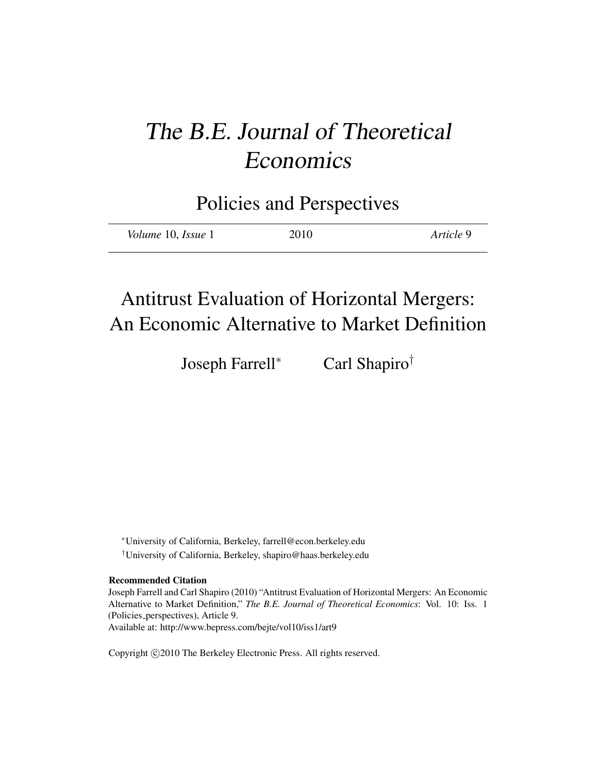# The B.E. Journal of Theoretical Economics

Policies and Perspectives

| Volume 10, Issue 1 | 2010 | Article 9 |
|--------------------|------|-----------|
|                    |      |           |

# Antitrust Evaluation of Horizontal Mergers: An Economic Alternative to Market Definition

Joseph Farrell<sup>∗</sup> Carl Shapiro†

<sup>∗</sup>University of California, Berkeley, farrell@econ.berkeley.edu †University of California, Berkeley, shapiro@haas.berkeley.edu

#### Recommended Citation

Joseph Farrell and Carl Shapiro (2010) "Antitrust Evaluation of Horizontal Mergers: An Economic Alternative to Market Definition," *The B.E. Journal of Theoretical Economics*: Vol. 10: Iss. 1 (Policies perspectives), Article 9. Available at: http://www.bepress.com/bejte/vol10/iss1/art9

Copyright © 2010 The Berkeley Electronic Press. All rights reserved.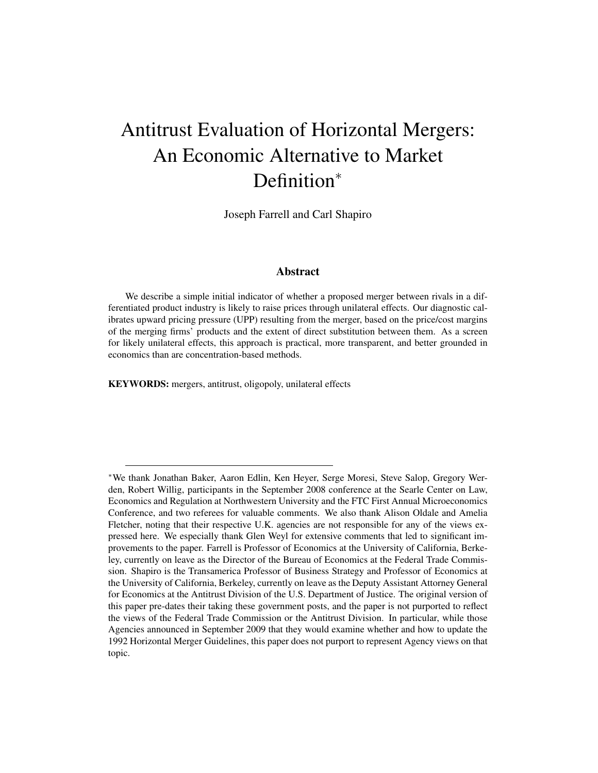# Antitrust Evaluation of Horizontal Mergers: An Economic Alternative to Market Definition<sup>∗</sup>

Joseph Farrell and Carl Shapiro

#### Abstract

We describe a simple initial indicator of whether a proposed merger between rivals in a differentiated product industry is likely to raise prices through unilateral effects. Our diagnostic calibrates upward pricing pressure (UPP) resulting from the merger, based on the price/cost margins of the merging firms' products and the extent of direct substitution between them. As a screen for likely unilateral effects, this approach is practical, more transparent, and better grounded in economics than are concentration-based methods.

KEYWORDS: mergers, antitrust, oligopoly, unilateral effects

<sup>∗</sup>We thank Jonathan Baker, Aaron Edlin, Ken Heyer, Serge Moresi, Steve Salop, Gregory Werden, Robert Willig, participants in the September 2008 conference at the Searle Center on Law, Economics and Regulation at Northwestern University and the FTC First Annual Microeconomics Conference, and two referees for valuable comments. We also thank Alison Oldale and Amelia Fletcher, noting that their respective U.K. agencies are not responsible for any of the views expressed here. We especially thank Glen Weyl for extensive comments that led to significant improvements to the paper. Farrell is Professor of Economics at the University of California, Berkeley, currently on leave as the Director of the Bureau of Economics at the Federal Trade Commission. Shapiro is the Transamerica Professor of Business Strategy and Professor of Economics at the University of California, Berkeley, currently on leave as the Deputy Assistant Attorney General for Economics at the Antitrust Division of the U.S. Department of Justice. The original version of this paper pre-dates their taking these government posts, and the paper is not purported to reflect the views of the Federal Trade Commission or the Antitrust Division. In particular, while those Agencies announced in September 2009 that they would examine whether and how to update the 1992 Horizontal Merger Guidelines, this paper does not purport to represent Agency views on that topic.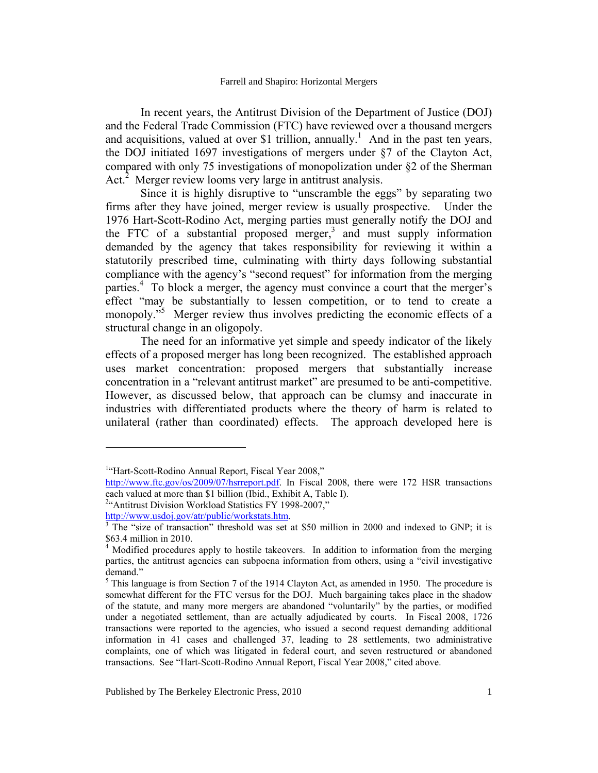In recent years, the Antitrust Division of the Department of Justice (DOJ) and the Federal Trade Commission (FTC) have reviewed over a thousand mergers and acquisitions, valued at over \$1 trillion, annually.<sup>1</sup> And in the past ten years, the DOJ initiated 1697 investigations of mergers under §7 of the Clayton Act, compared with only 75 investigations of monopolization under §2 of the Sherman Act.<sup>2</sup> Merger review looms very large in antitrust analysis.

Since it is highly disruptive to "unscramble the eggs" by separating two firms after they have joined, merger review is usually prospective. Under the 1976 Hart-Scott-Rodino Act, merging parties must generally notify the DOJ and the FTC of a substantial proposed merger,<sup>3</sup> and must supply information demanded by the agency that takes responsibility for reviewing it within a statutorily prescribed time, culminating with thirty days following substantial compliance with the agency's "second request" for information from the merging parties.<sup>4</sup> To block a merger, the agency must convince a court that the merger's effect "may be substantially to lessen competition, or to tend to create a monopoly."<sup>5</sup> Merger review thus involves predicting the economic effects of a structural change in an oligopoly.

The need for an informative yet simple and speedy indicator of the likely effects of a proposed merger has long been recognized. The established approach uses market concentration: proposed mergers that substantially increase concentration in a "relevant antitrust market" are presumed to be anti-competitive. However, as discussed below, that approach can be clumsy and inaccurate in industries with differentiated products where the theory of harm is related to unilateral (rather than coordinated) effects. The approach developed here is

<sup>&</sup>lt;sup>1</sup>"Hart-Scott-Rodino Annual Report, Fiscal Year 2008,"

http://www.ftc.gov/os/2009/07/hsrreport.pdf. In Fiscal 2008, there were 172 HSR transactions each valued at more than \$1 billion (Ibid., Exhibit A, Table I).

<sup>&</sup>lt;sup>2</sup>"Antitrust Division Workload Statistics FY 1998-2007,"

http://www.usdoj.gov/atr/public/workstats.htm. 3

The "size of transaction" threshold was set at \$50 million in 2000 and indexed to GNP; it is \$63.4 million in 2010.

<sup>&</sup>lt;sup>4</sup> Modified procedures apply to hostile takeovers. In addition to information from the merging parties, the antitrust agencies can subpoena information from others, using a "civil investigative demand."

 $<sup>5</sup>$  This language is from Section 7 of the 1914 Clayton Act, as amended in 1950. The procedure is</sup> somewhat different for the FTC versus for the DOJ. Much bargaining takes place in the shadow of the statute, and many more mergers are abandoned "voluntarily" by the parties, or modified under a negotiated settlement, than are actually adjudicated by courts. In Fiscal 2008, 1726 transactions were reported to the agencies, who issued a second request demanding additional information in 41 cases and challenged 37, leading to 28 settlements, two administrative complaints, one of which was litigated in federal court, and seven restructured or abandoned transactions. See "Hart-Scott-Rodino Annual Report, Fiscal Year 2008," cited above.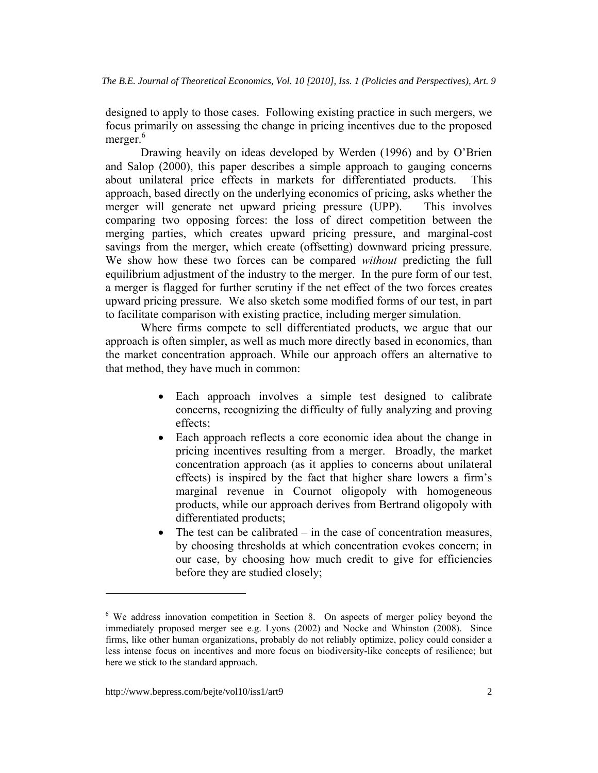designed to apply to those cases. Following existing practice in such mergers, we focus primarily on assessing the change in pricing incentives due to the proposed merger.<sup>6</sup>

Drawing heavily on ideas developed by Werden (1996) and by O'Brien and Salop (2000), this paper describes a simple approach to gauging concerns about unilateral price effects in markets for differentiated products. This approach, based directly on the underlying economics of pricing, asks whether the merger will generate net upward pricing pressure (UPP). This involves comparing two opposing forces: the loss of direct competition between the merging parties, which creates upward pricing pressure, and marginal-cost savings from the merger, which create (offsetting) downward pricing pressure. We show how these two forces can be compared *without* predicting the full equilibrium adjustment of the industry to the merger. In the pure form of our test, a merger is flagged for further scrutiny if the net effect of the two forces creates upward pricing pressure. We also sketch some modified forms of our test, in part to facilitate comparison with existing practice, including merger simulation.

Where firms compete to sell differentiated products, we argue that our approach is often simpler, as well as much more directly based in economics, than the market concentration approach. While our approach offers an alternative to that method, they have much in common:

- Each approach involves a simple test designed to calibrate concerns, recognizing the difficulty of fully analyzing and proving effects;
- Each approach reflects a core economic idea about the change in pricing incentives resulting from a merger. Broadly, the market concentration approach (as it applies to concerns about unilateral effects) is inspired by the fact that higher share lowers a firm's marginal revenue in Cournot oligopoly with homogeneous products, while our approach derives from Bertrand oligopoly with differentiated products;
- The test can be calibrated  $-$  in the case of concentration measures, by choosing thresholds at which concentration evokes concern; in our case, by choosing how much credit to give for efficiencies before they are studied closely;

<sup>&</sup>lt;sup>6</sup> We address innovation competition in Section 8. On aspects of merger policy beyond the immediately proposed merger see e.g. Lyons (2002) and Nocke and Whinston (2008). Since firms, like other human organizations, probably do not reliably optimize, policy could consider a less intense focus on incentives and more focus on biodiversity-like concepts of resilience; but here we stick to the standard approach.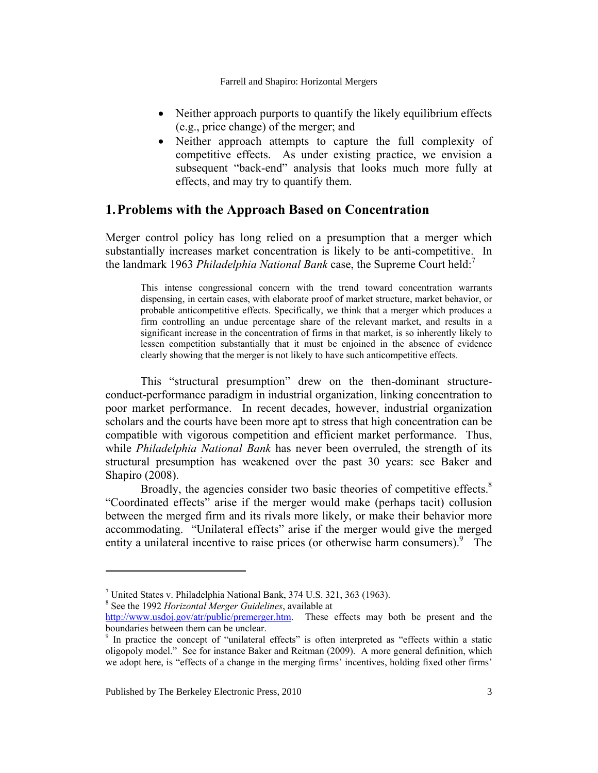- Neither approach purports to quantify the likely equilibrium effects (e.g., price change) of the merger; and
- Neither approach attempts to capture the full complexity of competitive effects. As under existing practice, we envision a subsequent "back-end" analysis that looks much more fully at effects, and may try to quantify them.

#### **1.Problems with the Approach Based on Concentration**

Merger control policy has long relied on a presumption that a merger which substantially increases market concentration is likely to be anti-competitive. In the landmark 1963 *Philadelphia National Bank* case, the Supreme Court held:<sup>7</sup>

This intense congressional concern with the trend toward concentration warrants dispensing, in certain cases, with elaborate proof of market structure, market behavior, or probable anticompetitive effects. Specifically, we think that a merger which produces a firm controlling an undue percentage share of the relevant market, and results in a significant increase in the concentration of firms in that market, is so inherently likely to lessen competition substantially that it must be enjoined in the absence of evidence clearly showing that the merger is not likely to have such anticompetitive effects.

This "structural presumption" drew on the then-dominant structureconduct-performance paradigm in industrial organization, linking concentration to poor market performance. In recent decades, however, industrial organization scholars and the courts have been more apt to stress that high concentration can be compatible with vigorous competition and efficient market performance. Thus, while *Philadelphia National Bank* has never been overruled, the strength of its structural presumption has weakened over the past 30 years: see Baker and Shapiro (2008).

Broadly, the agencies consider two basic theories of competitive effects.<sup>8</sup> "Coordinated effects" arise if the merger would make (perhaps tacit) collusion between the merged firm and its rivals more likely, or make their behavior more accommodating. "Unilateral effects" arise if the merger would give the merged entity a unilateral incentive to raise prices (or otherwise harm consumers).<sup>9</sup> The

<sup>7</sup> United States v. Philadelphia National Bank, 374 U.S. 321, 363 (1963).

<sup>8</sup> See the 1992 *Horizontal Merger Guidelines*, available at

http://www.usdoj.gov/atr/public/premerger.htm. These effects may both be present and the boundaries between them can be unclear.

<sup>&</sup>lt;sup>9</sup> In practice the concept of "unilateral effects" is often interpreted as "effects within a static oligopoly model." See for instance Baker and Reitman (2009). A more general definition, which we adopt here, is "effects of a change in the merging firms' incentives, holding fixed other firms'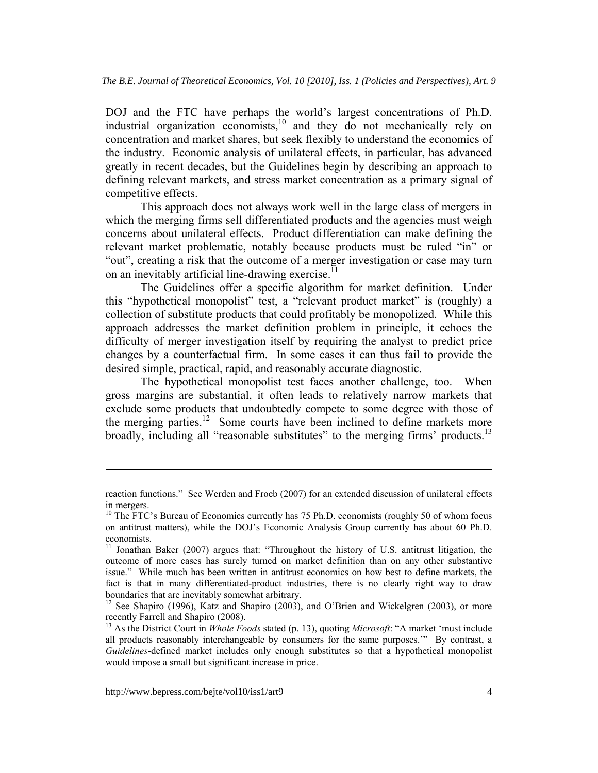DOJ and the FTC have perhaps the world's largest concentrations of Ph.D. industrial organization economists,<sup>10</sup> and they do not mechanically rely on concentration and market shares, but seek flexibly to understand the economics of the industry. Economic analysis of unilateral effects, in particular, has advanced greatly in recent decades, but the Guidelines begin by describing an approach to defining relevant markets, and stress market concentration as a primary signal of competitive effects.

This approach does not always work well in the large class of mergers in which the merging firms sell differentiated products and the agencies must weigh concerns about unilateral effects. Product differentiation can make defining the relevant market problematic, notably because products must be ruled "in" or "out", creating a risk that the outcome of a merger investigation or case may turn on an inevitably artificial line-drawing exercise.<sup> $11$ </sup>

The Guidelines offer a specific algorithm for market definition. Under this "hypothetical monopolist" test, a "relevant product market" is (roughly) a collection of substitute products that could profitably be monopolized. While this approach addresses the market definition problem in principle, it echoes the difficulty of merger investigation itself by requiring the analyst to predict price changes by a counterfactual firm. In some cases it can thus fail to provide the desired simple, practical, rapid, and reasonably accurate diagnostic.

The hypothetical monopolist test faces another challenge, too. When gross margins are substantial, it often leads to relatively narrow markets that exclude some products that undoubtedly compete to some degree with those of the merging parties.<sup>12</sup> Some courts have been inclined to define markets more broadly, including all "reasonable substitutes" to the merging firms' products.<sup>13</sup>

reaction functions." See Werden and Froeb (2007) for an extended discussion of unilateral effects in mergers.

 $10$  The FTC's Bureau of Economics currently has 75 Ph.D. economists (roughly 50 of whom focus on antitrust matters), while the DOJ's Economic Analysis Group currently has about 60 Ph.D. economists.

<sup>&</sup>lt;sup>11</sup> Jonathan Baker (2007) argues that: "Throughout the history of U.S. antitrust litigation, the outcome of more cases has surely turned on market definition than on any other substantive issue." While much has been written in antitrust economics on how best to define markets, the fact is that in many differentiated-product industries, there is no clearly right way to draw boundaries that are inevitably somewhat arbitrary.<br><sup>12</sup> See Shapiro (1996), Katz and Shapiro (2003), and O'Brien and Wickelgren (2003), or more

recently Farrell and Shapiro (2008).

<sup>13</sup> As the District Court in *Whole Foods* stated (p. 13), quoting *Microsoft*: "A market 'must include all products reasonably interchangeable by consumers for the same purposes.'" By contrast, a *Guidelines*-defined market includes only enough substitutes so that a hypothetical monopolist would impose a small but significant increase in price.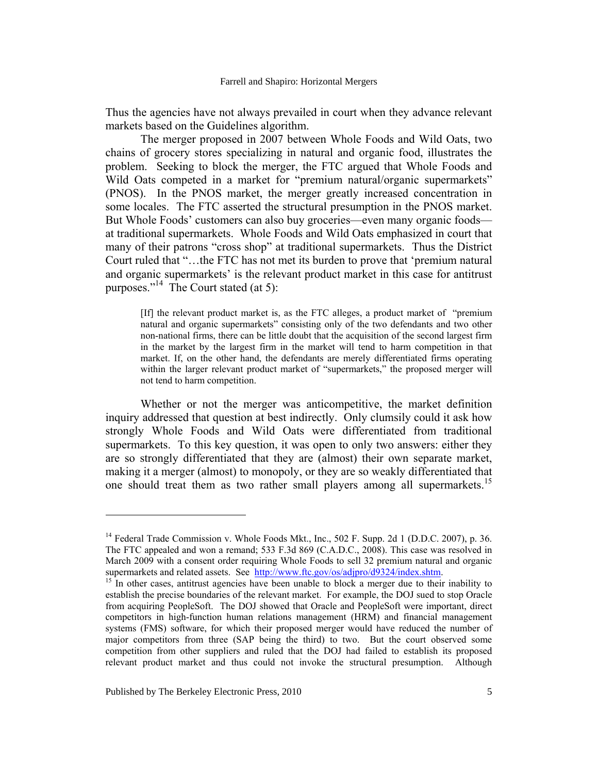Thus the agencies have not always prevailed in court when they advance relevant markets based on the Guidelines algorithm.

The merger proposed in 2007 between Whole Foods and Wild Oats, two chains of grocery stores specializing in natural and organic food, illustrates the problem. Seeking to block the merger, the FTC argued that Whole Foods and Wild Oats competed in a market for "premium natural/organic supermarkets" (PNOS). In the PNOS market, the merger greatly increased concentration in some locales. The FTC asserted the structural presumption in the PNOS market. But Whole Foods' customers can also buy groceries—even many organic foods at traditional supermarkets. Whole Foods and Wild Oats emphasized in court that many of their patrons "cross shop" at traditional supermarkets. Thus the District Court ruled that "…the FTC has not met its burden to prove that 'premium natural and organic supermarkets' is the relevant product market in this case for antitrust purposes."<sup>14</sup> The Court stated (at 5):

[If] the relevant product market is, as the FTC alleges, a product market of "premium natural and organic supermarkets" consisting only of the two defendants and two other non-national firms, there can be little doubt that the acquisition of the second largest firm in the market by the largest firm in the market will tend to harm competition in that market. If, on the other hand, the defendants are merely differentiated firms operating within the larger relevant product market of "supermarkets," the proposed merger will not tend to harm competition.

Whether or not the merger was anticompetitive, the market definition inquiry addressed that question at best indirectly. Only clumsily could it ask how strongly Whole Foods and Wild Oats were differentiated from traditional supermarkets. To this key question, it was open to only two answers: either they are so strongly differentiated that they are (almost) their own separate market, making it a merger (almost) to monopoly, or they are so weakly differentiated that one should treat them as two rather small players among all supermarkets.<sup>15</sup>

<sup>&</sup>lt;sup>14</sup> Federal Trade Commission v. Whole Foods Mkt., Inc., 502 F. Supp. 2d 1 (D.D.C. 2007), p. 36. The FTC appealed and won a remand; 533 F.3d 869 (C.A.D.C., 2008). This case was resolved in March 2009 with a consent order requiring Whole Foods to sell 32 premium natural and organic supermarkets and related assets. See http://www.ftc.gov/os/adjpro/d9324/index.shtm.<br><sup>15</sup> In other cases, antitrust agencies have been unable to block a merger due to their inability to

establish the precise boundaries of the relevant market. For example, the DOJ sued to stop Oracle from acquiring PeopleSoft. The DOJ showed that Oracle and PeopleSoft were important, direct competitors in high-function human relations management (HRM) and financial management systems (FMS) software, for which their proposed merger would have reduced the number of major competitors from three (SAP being the third) to two. But the court observed some competition from other suppliers and ruled that the DOJ had failed to establish its proposed relevant product market and thus could not invoke the structural presumption. Although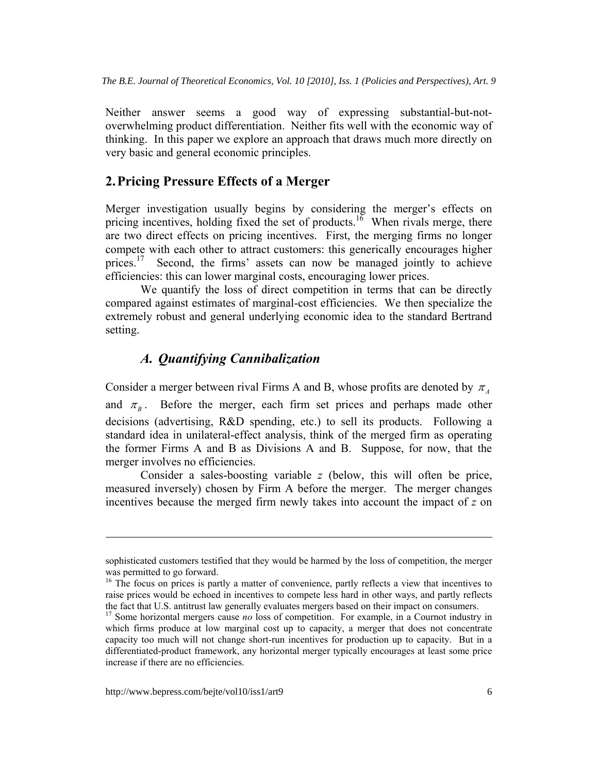Neither answer seems a good way of expressing substantial-but-notoverwhelming product differentiation. Neither fits well with the economic way of thinking. In this paper we explore an approach that draws much more directly on very basic and general economic principles.

## **2.Pricing Pressure Effects of a Merger**

Merger investigation usually begins by considering the merger's effects on pricing incentives, holding fixed the set of products.<sup>16</sup> When rivals merge, there are two direct effects on pricing incentives. First, the merging firms no longer compete with each other to attract customers: this generically encourages higher prices.<sup>17</sup> Second, the firms' assets can now be managed jointly to achieve efficiencies: this can lower marginal costs, encouraging lower prices.

We quantify the loss of direct competition in terms that can be directly compared against estimates of marginal-cost efficiencies. We then specialize the extremely robust and general underlying economic idea to the standard Bertrand setting.

## *A. Quantifying Cannibalization*

Consider a merger between rival Firms A and B, whose profits are denoted by  $\pi_A$ and  $\pi_{B}$ . Before the merger, each firm set prices and perhaps made other decisions (advertising, R&D spending, etc.) to sell its products. Following a standard idea in unilateral-effect analysis, think of the merged firm as operating the former Firms A and B as Divisions A and B. Suppose, for now, that the merger involves no efficiencies.

Consider a sales-boosting variable *z* (below, this will often be price, measured inversely) chosen by Firm A before the merger. The merger changes incentives because the merged firm newly takes into account the impact of *z* on

sophisticated customers testified that they would be harmed by the loss of competition, the merger was permitted to go forward.

<sup>&</sup>lt;sup>16</sup> The focus on prices is partly a matter of convenience, partly reflects a view that incentives to raise prices would be echoed in incentives to compete less hard in other ways, and partly reflects the fact that U.S. antitrust law generally evaluates mergers based on their impact on consumers. 17 Some horizontal mergers cause *no* loss of competition. For example, in a Cournot industry in

which firms produce at low marginal cost up to capacity, a merger that does not concentrate capacity too much will not change short-run incentives for production up to capacity. But in a differentiated-product framework, any horizontal merger typically encourages at least some price increase if there are no efficiencies.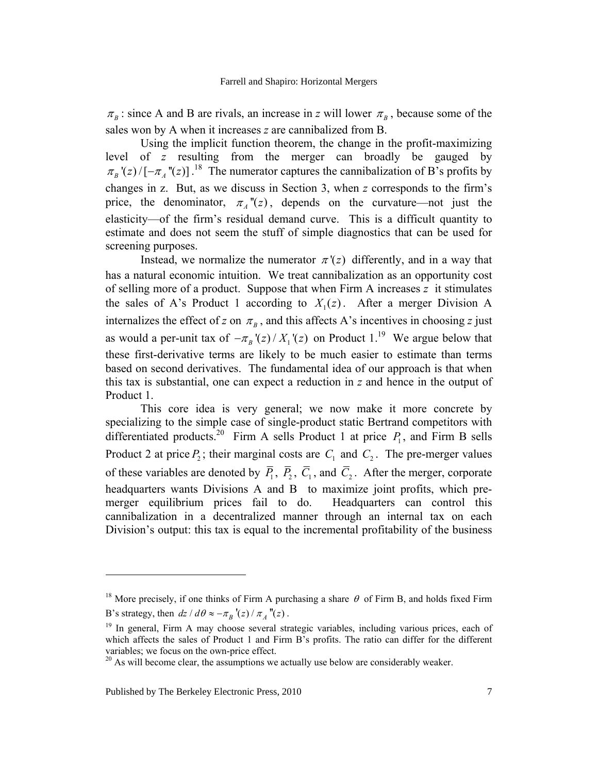$\pi_B$ : since A and B are rivals, an increase in *z* will lower  $\pi_B$ , because some of the sales won by A when it increases *z* are cannibalized from B.

Using the implicit function theorem, the change in the profit-maximizing level of *z* resulting from the merger can broadly be gauged by  $\pi_B'(z) / [-\pi_A''(z)]$ .<sup>18</sup> The numerator captures the cannibalization of B's profits by changes in z. But, as we discuss in Section 3, when *z* corresponds to the firm's price, the denominator,  $\pi_A''(z)$ , depends on the curvature—not just the elasticity—of the firm's residual demand curve. This is a difficult quantity to estimate and does not seem the stuff of simple diagnostics that can be used for screening purposes.

Instead, we normalize the numerator  $\pi'(z)$  differently, and in a way that has a natural economic intuition. We treat cannibalization as an opportunity cost of selling more of a product. Suppose that when Firm A increases *z* it stimulates the sales of A's Product 1 according to  $X_1(z)$ . After a merger Division A internalizes the effect of *z* on  $\pi$ <sup>*B*</sup>, and this affects A's incentives in choosing *z* just as would a per-unit tax of  $-\pi$ <sub>*n*</sub> '(*z*) /  $X$ <sub>1</sub>'(*z*) on Product 1.<sup>19</sup> We argue below that these first-derivative terms are likely to be much easier to estimate than terms based on second derivatives. The fundamental idea of our approach is that when this tax is substantial, one can expect a reduction in *z* and hence in the output of Product 1.

This core idea is very general; we now make it more concrete by specializing to the simple case of single-product static Bertrand competitors with differentiated products.<sup>20</sup> Firm A sells Product 1 at price  $P_1$ , and Firm B sells Product 2 at price  $P_2$ ; their marginal costs are  $C_1$  and  $C_2$ . The pre-merger values of these variables are denoted by  $\overline{P}_1$ ,  $\overline{P}_2$ ,  $\overline{C}_1$ , and  $\overline{C}_2$ . After the merger, corporate headquarters wants Divisions A and B to maximize joint profits, which premerger equilibrium prices fail to do. Headquarters can control this cannibalization in a decentralized manner through an internal tax on each Division's output: this tax is equal to the incremental profitability of the business

<sup>&</sup>lt;sup>18</sup> More precisely, if one thinks of Firm A purchasing a share  $\theta$  of Firm B, and holds fixed Firm B's strategy, then  $dz / d\theta \approx -\pi_B' (z) / \pi_A''(z)$ .

<sup>&</sup>lt;sup>19</sup> In general, Firm A may choose several strategic variables, including various prices, each of which affects the sales of Product 1 and Firm B's profits. The ratio can differ for the different variables; we focus on the own-price effect.<br><sup>20</sup> As will become clear, the assumptions we actually use below are considerably weaker.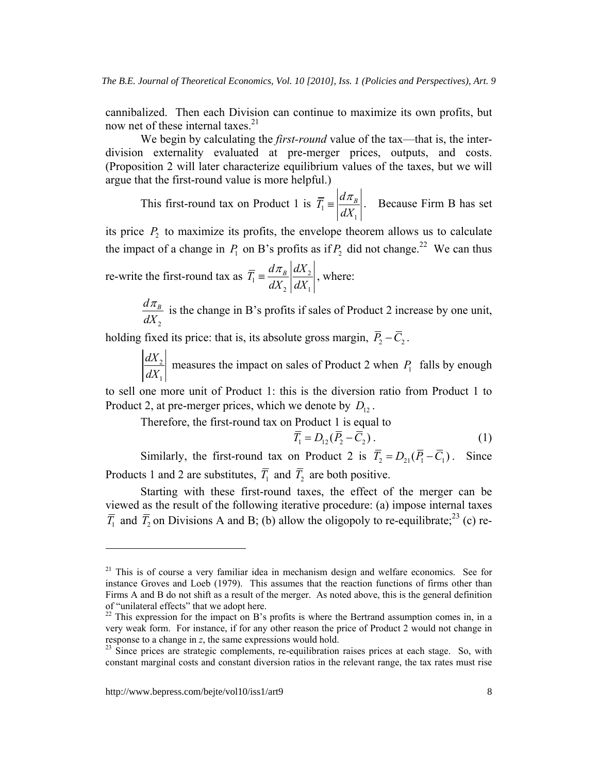cannibalized. Then each Division can continue to maximize its own profits, but now net of these internal taxes. $2<sup>1</sup>$ 

We begin by calculating the *first-round* value of the tax—that is, the interdivision externality evaluated at pre-merger prices, outputs, and costs. (Proposition 2 will later characterize equilibrium values of the taxes, but we will argue that the first-round value is more helpful.)

This first-round tax on Product 1 is  $\overline{T_1}$ 1  $\overline{T}_1 = \frac{d\pi_B}{dt}$ *dX*  $\equiv \left| \frac{d\pi_B}{dx} \right|$ . Because Firm B has set

its price  $P_2$  to maximize its profits, the envelope theorem allows us to calculate the impact of a change in  $P_1$  on B's profits as if  $P_2$  did not change.<sup>22</sup> We can thus  $\overline{T}_1 \equiv \frac{d\,\pi_{B}}{d\Omega} \frac{dX}{d\Omega}$ 

re-write the first-round tax as  $\overline{T}_1 \equiv \frac{a n_B}{v} \frac{a n_2}{v}$ 2 |  $u \Delta_1$  $dX$ <sub>2</sub>  $dX$  $=\frac{d\pi_B}{dx} \left| \frac{dX_2}{dx} \right|$ , where:

2  $d\pi$ <sub>*B*</sub> *dX*  $\frac{\pi_B}{\sigma}$  is the change in B's profits if sales of Product 2 increase by one unit,

holding fixed its price: that is, its absolute gross margin,  $\overline{P_2} - \overline{C_2}$ .

2 1  $\frac{dX_2}{dX_1}$  measures the impact on sales of Product 2 when  $P_1$  falls by enough

to sell one more unit of Product 1: this is the diversion ratio from Product 1 to Product 2, at pre-merger prices, which we denote by  $D_{12}$ .

Therefore, the first-round tax on Product 1 is equal to

$$
\overline{T}_1 = D_{12}(\overline{P}_2 - \overline{C}_2).
$$
 (1)

Similarly, the first-round tax on Product 2 is  $\overline{T}_2 = D_{21}(\overline{P}_1 - \overline{C}_1)$ . Since Products 1 and 2 are substitutes,  $\overline{T_1}$  and  $\overline{T_2}$  are both positive.

Starting with these first-round taxes, the effect of the merger can be viewed as the result of the following iterative procedure: (a) impose internal taxes  $\overline{T}_1$  and  $\overline{T}_2$  on Divisions A and B; (b) allow the oligopoly to re-equilibrate;<sup>23</sup> (c) re-

 $2<sup>1</sup>$  This is of course a very familiar idea in mechanism design and welfare economics. See for instance Groves and Loeb (1979). This assumes that the reaction functions of firms other than Firms A and B do not shift as a result of the merger. As noted above, this is the general definition of "unilateral effects" that we adopt here.

 $22$  This expression for the impact on B's profits is where the Bertrand assumption comes in, in a very weak form. For instance, if for any other reason the price of Product 2 would not change in response to a change in *z*, the same expressions would hold.<br><sup>23</sup> Since prices are strategic complements, re-equilibration raises prices at each stage. So, with

constant marginal costs and constant diversion ratios in the relevant range, the tax rates must rise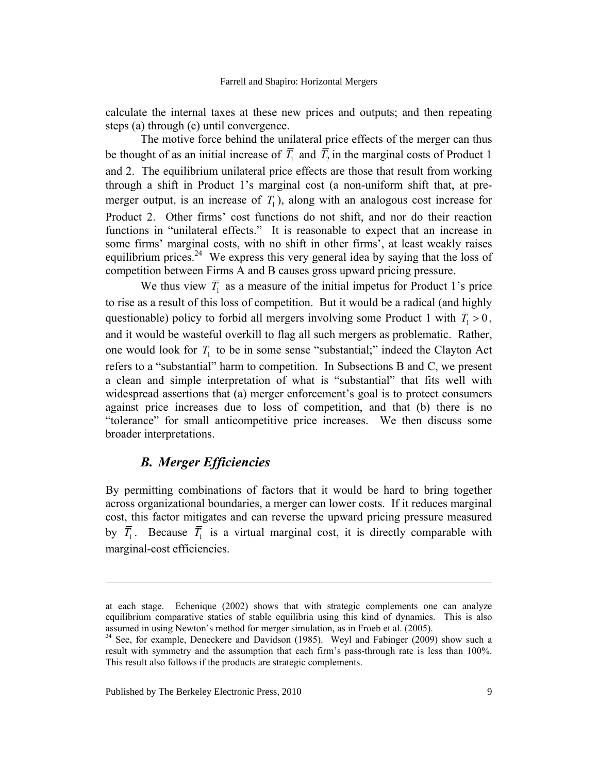calculate the internal taxes at these new prices and outputs; and then repeating steps (a) through (c) until convergence.

The motive force behind the unilateral price effects of the merger can thus be thought of as an initial increase of  $\overline{T}_1$  and  $\overline{T}_2$  in the marginal costs of Product 1 and 2. The equilibrium unilateral price effects are those that result from working through a shift in Product 1's marginal cost (a non-uniform shift that, at premerger output, is an increase of  $\overline{T_1}$ ), along with an analogous cost increase for Product 2. Other firms' cost functions do not shift, and nor do their reaction functions in "unilateral effects." It is reasonable to expect that an increase in some firms' marginal costs, with no shift in other firms', at least weakly raises equilibrium prices.<sup>24</sup> We express this very general idea by saying that the loss of competition between Firms A and B causes gross upward pricing pressure.

We thus view  $\overline{T}_1$  as a measure of the initial impetus for Product 1's price to rise as a result of this loss of competition. But it would be a radical (and highly questionable) policy to forbid all mergers involving some Product 1 with  $\overline{T}_1 > 0$ , and it would be wasteful overkill to flag all such mergers as problematic. Rather, one would look for  $\overline{T}_1$  to be in some sense "substantial;" indeed the Clayton Act refers to a "substantial" harm to competition. In Subsections B and C, we present a clean and simple interpretation of what is "substantial" that fits well with widespread assertions that (a) merger enforcement's goal is to protect consumers against price increases due to loss of competition, and that (b) there is no "tolerance" for small anticompetitive price increases. We then discuss some broader interpretations.

## *B. Merger Efficiencies*

By permitting combinations of factors that it would be hard to bring together across organizational boundaries, a merger can lower costs. If it reduces marginal cost, this factor mitigates and can reverse the upward pricing pressure measured by  $\overline{T}_1$ . Because  $\overline{T}_1$  is a virtual marginal cost, it is directly comparable with marginal-cost efficiencies.

at each stage. Echenique (2002) shows that with strategic complements one can analyze equilibrium comparative statics of stable equilibria using this kind of dynamics. This is also assumed in using Newton's method for merger simulation, as in Froeb et al. (2005).

<sup>&</sup>lt;sup>24</sup> See, for example, Deneckere and Davidson (1985). Weyl and Fabinger (2009) show such a result with symmetry and the assumption that each firm's pass-through rate is less than 100%. This result also follows if the products are strategic complements.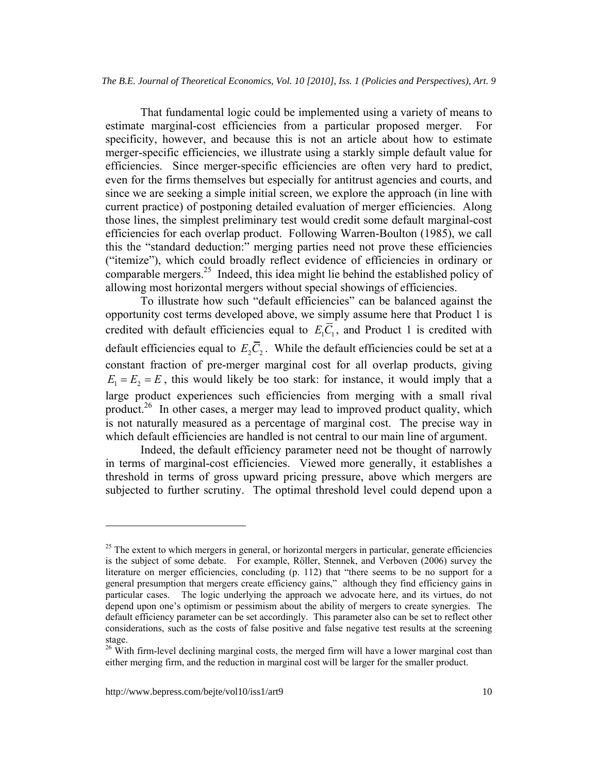That fundamental logic could be implemented using a variety of means to estimate marginal-cost efficiencies from a particular proposed merger. For specificity, however, and because this is not an article about how to estimate merger-specific efficiencies, we illustrate using a starkly simple default value for efficiencies. Since merger-specific efficiencies are often very hard to predict, even for the firms themselves but especially for antitrust agencies and courts, and since we are seeking a simple initial screen, we explore the approach (in line with current practice) of postponing detailed evaluation of merger efficiencies. Along those lines, the simplest preliminary test would credit some default marginal-cost efficiencies for each overlap product. Following Warren-Boulton (1985), we call this the "standard deduction:" merging parties need not prove these efficiencies ("itemize"), which could broadly reflect evidence of efficiencies in ordinary or comparable mergers.<sup>25</sup> Indeed, this idea might lie behind the established policy of allowing most horizontal mergers without special showings of efficiencies.

To illustrate how such "default efficiencies" can be balanced against the opportunity cost terms developed above, we simply assume here that Product 1 is credited with default efficiencies equal to  $E_1\overline{C}_1$ , and Product 1 is credited with default efficiencies equal to  $E_2\overline{C}_2$ . While the default efficiencies could be set at a constant fraction of pre-merger marginal cost for all overlap products, giving  $E_1 = E_2 = E$ , this would likely be too stark: for instance, it would imply that a large product experiences such efficiencies from merging with a small rival product.<sup>26</sup> In other cases, a merger may lead to improved product quality, which is not naturally measured as a percentage of marginal cost. The precise way in which default efficiencies are handled is not central to our main line of argument.

Indeed, the default efficiency parameter need not be thought of narrowly in terms of marginal-cost efficiencies. Viewed more generally, it establishes a threshold in terms of gross upward pricing pressure, above which mergers are subjected to further scrutiny. The optimal threshold level could depend upon a

 $25$  The extent to which mergers in general, or horizontal mergers in particular, generate efficiencies is the subject of some debate. For example, Röller, Stennek, and Verboven (2006) survey the literature on merger efficiencies, concluding (p. 112) that "there seems to be no support for a general presumption that mergers create efficiency gains," although they find efficiency gains in particular cases. The logic underlying the approach we advocate here, and its virtues, do not depend upon one's optimism or pessimism about the ability of mergers to create synergies. The default efficiency parameter can be set accordingly. This parameter also can be set to reflect other considerations, such as the costs of false positive and false negative test results at the screening stage.

<sup>&</sup>lt;sup>26</sup> With firm-level declining marginal costs, the merged firm will have a lower marginal cost than either merging firm, and the reduction in marginal cost will be larger for the smaller product.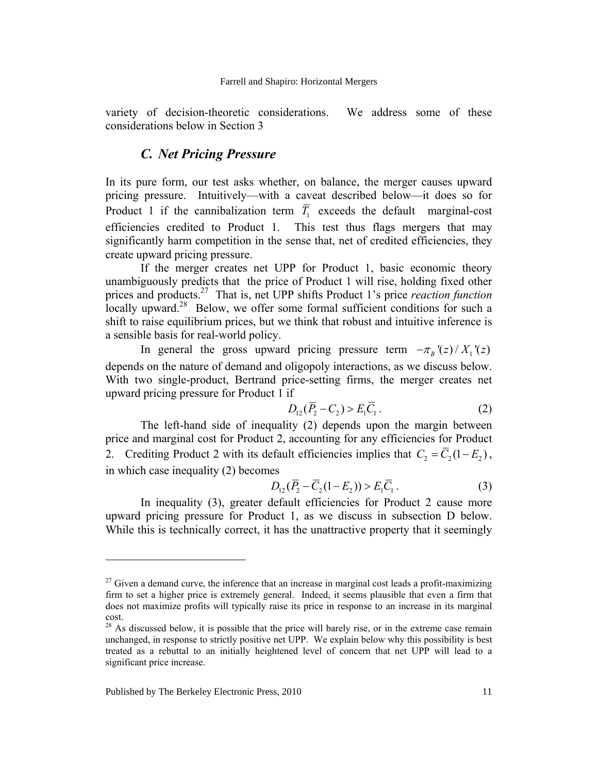variety of decision-theoretic considerations. We address some of these considerations below in Section 3

#### *C. Net Pricing Pressure*

In its pure form, our test asks whether, on balance, the merger causes upward pricing pressure. Intuitively—with a caveat described below—it does so for Product 1 if the cannibalization term  $\overline{T_1}$  exceeds the default marginal-cost efficiencies credited to Product 1. This test thus flags mergers that may significantly harm competition in the sense that, net of credited efficiencies, they create upward pricing pressure.

If the merger creates net UPP for Product 1, basic economic theory unambiguously predicts that the price of Product 1 will rise, holding fixed other prices and products.27 That is, net UPP shifts Product 1's price *reaction function* locally upward.<sup>28</sup> Below, we offer some formal sufficient conditions for such a shift to raise equilibrium prices, but we think that robust and intuitive inference is a sensible basis for real-world policy.

In general the gross upward pricing pressure term  $-\pi_R'(z) / X_I'(z)$ depends on the nature of demand and oligopoly interactions, as we discuss below. With two single-product, Bertrand price-setting firms, the merger creates net upward pricing pressure for Product 1 if

$$
D_{12}(\overline{P}_2 - C_2) > E_1 \overline{C}_1.
$$
 (2)

The left-hand side of inequality (2) depends upon the margin between price and marginal cost for Product 2, accounting for any efficiencies for Product 2. Crediting Product 2 with its default efficiencies implies that  $C_2 = \overline{C}_2(1 - E_2)$ , in which case inequality (2) becomes

$$
D_{12}(\overline{P}_2 - \overline{C}_2(1 - E_2)) > E_1 \overline{C}_1.
$$
 (3)

In inequality (3), greater default efficiencies for Product 2 cause more upward pricing pressure for Product 1, as we discuss in subsection D below. While this is technically correct, it has the unattractive property that it seemingly

 $27$  Given a demand curve, the inference that an increase in marginal cost leads a profit-maximizing firm to set a higher price is extremely general. Indeed, it seems plausible that even a firm that does not maximize profits will typically raise its price in response to an increase in its marginal cost.

 $^{28}$  As discussed below, it is possible that the price will barely rise, or in the extreme case remain unchanged, in response to strictly positive net UPP. We explain below why this possibility is best treated as a rebuttal to an initially heightened level of concern that net UPP will lead to a significant price increase.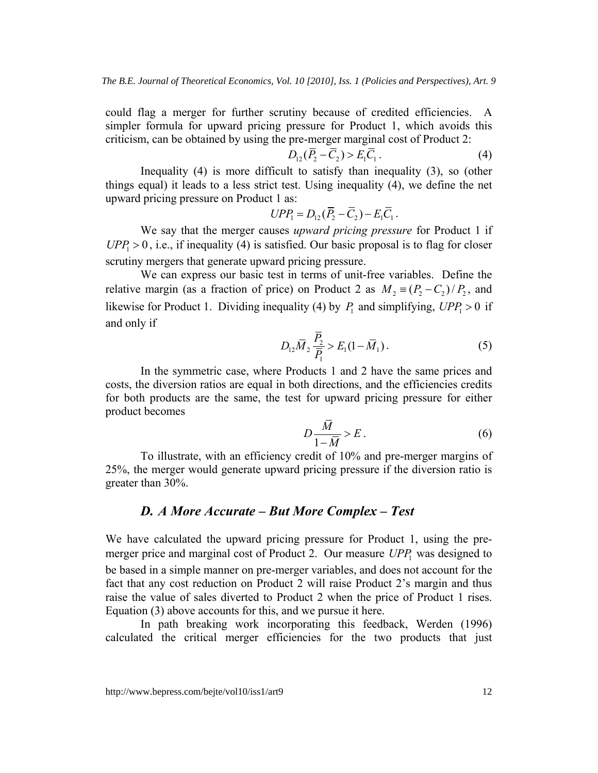could flag a merger for further scrutiny because of credited efficiencies. A simpler formula for upward pricing pressure for Product 1, which avoids this criticism, can be obtained by using the pre-merger marginal cost of Product 2:

$$
D_{12}(\overline{P}_2 - \overline{C}_2) > E_1 \overline{C}_1.
$$
 (4)

Inequality (4) is more difficult to satisfy than inequality (3), so (other things equal) it leads to a less strict test. Using inequality (4), we define the net upward pricing pressure on Product 1 as:

$$
UPP_1 = D_{12}(\overline{P}_2 - \overline{C}_2) - E_1\overline{C}_1.
$$

We say that the merger causes *upward pricing pressure* for Product 1 if  $UPP_1 > 0$ , i.e., if inequality (4) is satisfied. Our basic proposal is to flag for closer scrutiny mergers that generate upward pricing pressure.

We can express our basic test in terms of unit-free variables. Define the relative margin (as a fraction of price) on Product 2 as  $M_2 = (P_2 - C_2)/P_2$ , and likewise for Product 1. Dividing inequality (4) by  $P_1$  and simplifying,  $UPP_1 > 0$  if and only if

$$
D_{12}\bar{M}_2 \frac{\bar{P}_2}{\bar{P}_1} > E_1(1 - \bar{M}_1).
$$
 (5)

In the symmetric case, where Products 1 and 2 have the same prices and costs, the diversion ratios are equal in both directions, and the efficiencies credits for both products are the same, the test for upward pricing pressure for either product becomes

$$
D\frac{\overline{M}}{1-\overline{M}} > E.
$$
 (6)

To illustrate, with an efficiency credit of 10% and pre-merger margins of 25%, the merger would generate upward pricing pressure if the diversion ratio is greater than 30%.

# *D. A More Accurate – But More Complex – Test*

We have calculated the upward pricing pressure for Product 1, using the premerger price and marginal cost of Product 2. Our measure *UPP*<sub>1</sub> was designed to be based in a simple manner on pre-merger variables, and does not account for the fact that any cost reduction on Product 2 will raise Product 2's margin and thus raise the value of sales diverted to Product 2 when the price of Product 1 rises. Equation (3) above accounts for this, and we pursue it here.

In path breaking work incorporating this feedback, Werden (1996) calculated the critical merger efficiencies for the two products that just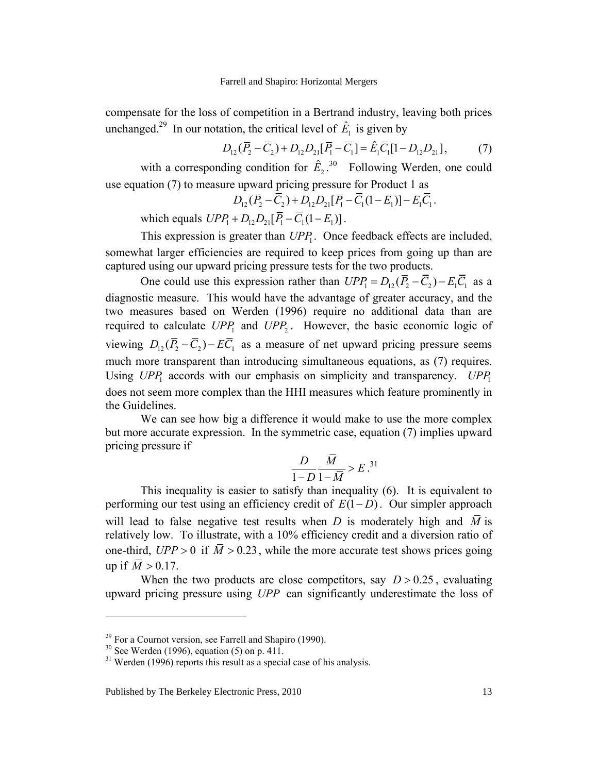compensate for the loss of competition in a Bertrand industry, leaving both prices unchanged.<sup>29</sup> In our notation, the critical level of  $\hat{E}_1$  is given by

$$
D_{12}(\overline{P}_2 - \overline{C}_2) + D_{12}D_{21}[\overline{P}_1 - \overline{C}_1] = \hat{E}_1 \overline{C}_1[1 - D_{12}D_{21}],
$$
 (7)

with a corresponding condition for  $\hat{E}_2$ .<sup>30</sup> Following Werden, one could use equation (7) to measure upward pricing pressure for Product 1 as

$$
D_{12}(\overline{P}_2-\overline{C}_2)+D_{12}D_{21}[\overline{P}_1-\overline{C}_1(1-E_1)]-E_1\overline{C}_1.
$$

which equals  $UPP_1 + D_{12} D_{21} [\overline{P}_1 - \overline{C}_1 (1 - E_1)].$ 

This expression is greater than *UPP*<sub>1</sub>. Once feedback effects are included, somewhat larger efficiencies are required to keep prices from going up than are captured using our upward pricing pressure tests for the two products.

One could use this expression rather than  $UPP_1 = D_{12} (\overline{P_2} - \overline{C}_2) - E_1 \overline{C}_1$  as a diagnostic measure. This would have the advantage of greater accuracy, and the two measures based on Werden (1996) require no additional data than are required to calculate  $UPP_1$  and  $UPP_2$ . However, the basic economic logic of viewing  $D_{12} (\overline{P}_2 - \overline{C}_2) - E\overline{C}_1$  as a measure of net upward pricing pressure seems much more transparent than introducing simultaneous equations, as (7) requires. Using  $UPP_1$  accords with our emphasis on simplicity and transparency.  $UPP_1$ does not seem more complex than the HHI measures which feature prominently in the Guidelines.

We can see how big a difference it would make to use the more complex but more accurate expression. In the symmetric case, equation (7) implies upward pricing pressure if

$$
\frac{D}{1-D}\frac{\overline{M}}{1-\overline{M}} > E.^{31}
$$

This inequality is easier to satisfy than inequality (6). It is equivalent to performing our test using an efficiency credit of  $E(1-D)$ . Our simpler approach will lead to false negative test results when *D* is moderately high and  $\overline{M}$  is relatively low. To illustrate, with a 10% efficiency credit and a diversion ratio of one-third,  $UPP > 0$  if  $\overline{M} > 0.23$ , while the more accurate test shows prices going up if  $\bar{M} > 0.17$ .

When the two products are close competitors, say  $D > 0.25$ , evaluating upward pricing pressure using *UPP* can significantly underestimate the loss of

 $29$  For a Cournot version, see Farrell and Shapiro (1990).

 $30$  See Werden (1996), equation (5) on p. 411.

 $31$  Werden (1996) reports this result as a special case of his analysis.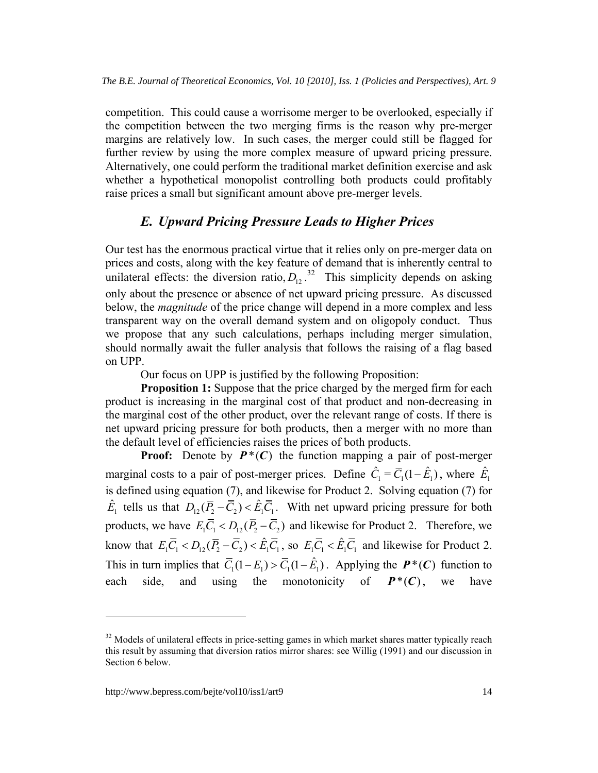competition. This could cause a worrisome merger to be overlooked, especially if the competition between the two merging firms is the reason why pre-merger margins are relatively low. In such cases, the merger could still be flagged for further review by using the more complex measure of upward pricing pressure. Alternatively, one could perform the traditional market definition exercise and ask whether a hypothetical monopolist controlling both products could profitably raise prices a small but significant amount above pre-merger levels.

# *E. Upward Pricing Pressure Leads to Higher Prices*

Our test has the enormous practical virtue that it relies only on pre-merger data on prices and costs, along with the key feature of demand that is inherently central to unilateral effects: the diversion ratio,  $D_{12}$ <sup>32</sup> This simplicity depends on asking only about the presence or absence of net upward pricing pressure. As discussed below, the *magnitude* of the price change will depend in a more complex and less transparent way on the overall demand system and on oligopoly conduct. Thus we propose that any such calculations, perhaps including merger simulation, should normally await the fuller analysis that follows the raising of a flag based on UPP.

Our focus on UPP is justified by the following Proposition:

**Proposition 1:** Suppose that the price charged by the merged firm for each product is increasing in the marginal cost of that product and non-decreasing in the marginal cost of the other product, over the relevant range of costs. If there is net upward pricing pressure for both products, then a merger with no more than the default level of efficiencies raises the prices of both products.

**Proof:** Denote by  $P^*(C)$  the function mapping a pair of post-merger marginal costs to a pair of post-merger prices. Define  $\hat{C}_1 = \overline{C}_1(1-\hat{E}_1)$ , where  $\hat{E}_1$ is defined using equation (7), and likewise for Product 2. Solving equation (7) for  $\hat{E}_1$  tells us that  $D_{12}(\overline{P}_2 - \overline{C}_2) < \hat{E}_1 \overline{C}_1$ . With net upward pricing pressure for both products, we have  $E_1 \overline{C}_1 < D_{12} (\overline{P}_2 - \overline{C}_2)$  and likewise for Product 2. Therefore, we know that  $E_1 \overline{C}_1 < D_1 \overline{P}_2 - \overline{C}_2$   $\leq \hat{E}_1 \overline{C}_1$ , so  $E_1 \overline{C}_1 < \hat{E}_1 \overline{C}_1$  and likewise for Product 2. This in turn implies that  $\overline{C}_1(1 - E_1) > \overline{C}_1(1 - \hat{E}_1)$ . Applying the  $P^*(C)$  function to each side, and using the monotonicity of  $P^*(C)$ , we have

 $32$  Models of unilateral effects in price-setting games in which market shares matter typically reach this result by assuming that diversion ratios mirror shares: see Willig (1991) and our discussion in Section 6 below.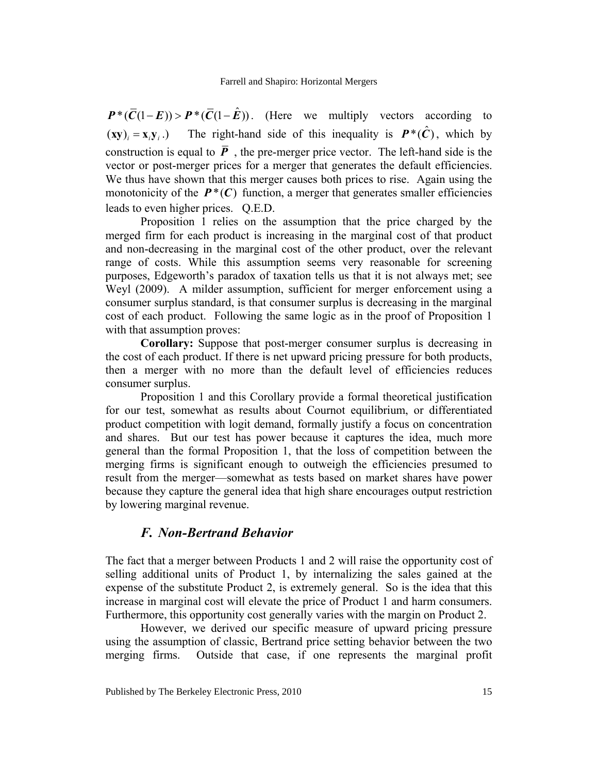$P^*(\overline{C}(1-E)) > P^*(\overline{C}(1-\hat{E}))$ . (Here we multiply vectors according to  $(\mathbf{xy})_i = \mathbf{x}_i \mathbf{y}_i$ .) The right-hand side of this inequality is  $P^*(\hat{C})$ , which by construction is equal to  $\overline{P}$ , the pre-merger price vector. The left-hand side is the vector or post-merger prices for a merger that generates the default efficiencies. We thus have shown that this merger causes both prices to rise. Again using the monotonicity of the  $P^*(C)$  function, a merger that generates smaller efficiencies leads to even higher prices. Q.E.D.

Proposition 1 relies on the assumption that the price charged by the merged firm for each product is increasing in the marginal cost of that product and non-decreasing in the marginal cost of the other product, over the relevant range of costs. While this assumption seems very reasonable for screening purposes, Edgeworth's paradox of taxation tells us that it is not always met; see Weyl (2009). A milder assumption, sufficient for merger enforcement using a consumer surplus standard, is that consumer surplus is decreasing in the marginal cost of each product. Following the same logic as in the proof of Proposition 1 with that assumption proves:

**Corollary:** Suppose that post-merger consumer surplus is decreasing in the cost of each product. If there is net upward pricing pressure for both products, then a merger with no more than the default level of efficiencies reduces consumer surplus.

Proposition 1 and this Corollary provide a formal theoretical justification for our test, somewhat as results about Cournot equilibrium, or differentiated product competition with logit demand, formally justify a focus on concentration and shares. But our test has power because it captures the idea, much more general than the formal Proposition 1, that the loss of competition between the merging firms is significant enough to outweigh the efficiencies presumed to result from the merger—somewhat as tests based on market shares have power because they capture the general idea that high share encourages output restriction by lowering marginal revenue.

## *F. Non-Bertrand Behavior*

The fact that a merger between Products 1 and 2 will raise the opportunity cost of selling additional units of Product 1, by internalizing the sales gained at the expense of the substitute Product 2, is extremely general. So is the idea that this increase in marginal cost will elevate the price of Product 1 and harm consumers. Furthermore, this opportunity cost generally varies with the margin on Product 2.

However, we derived our specific measure of upward pricing pressure using the assumption of classic, Bertrand price setting behavior between the two merging firms. Outside that case, if one represents the marginal profit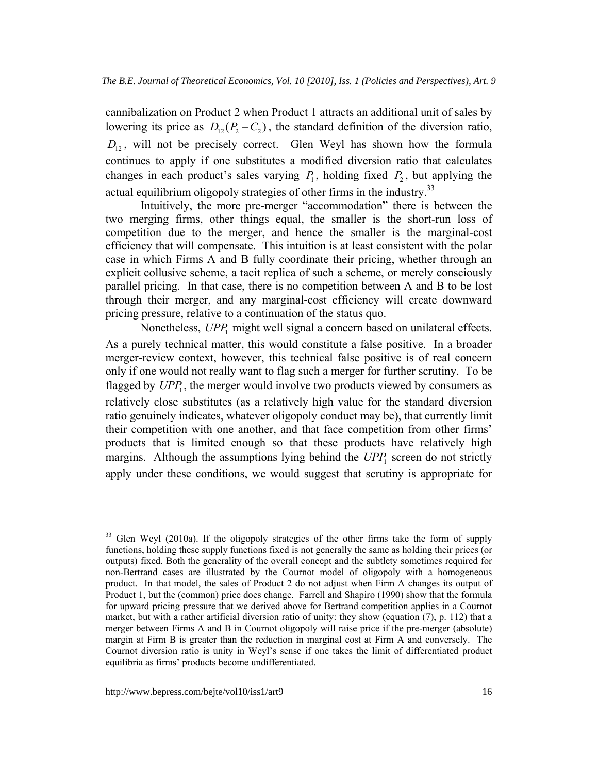cannibalization on Product 2 when Product 1 attracts an additional unit of sales by lowering its price as  $D_{12}(P_2 - C_2)$ , the standard definition of the diversion ratio,  $D_{12}$ , will not be precisely correct. Glen Weyl has shown how the formula continues to apply if one substitutes a modified diversion ratio that calculates changes in each product's sales varying  $P_1$ , holding fixed  $P_2$ , but applying the actual equilibrium oligopoly strategies of other firms in the industry.<sup>33</sup>

Intuitively, the more pre-merger "accommodation" there is between the two merging firms, other things equal, the smaller is the short-run loss of competition due to the merger, and hence the smaller is the marginal-cost efficiency that will compensate. This intuition is at least consistent with the polar case in which Firms A and B fully coordinate their pricing, whether through an explicit collusive scheme, a tacit replica of such a scheme, or merely consciously parallel pricing. In that case, there is no competition between A and B to be lost through their merger, and any marginal-cost efficiency will create downward pricing pressure, relative to a continuation of the status quo.

Nonetheless, *UPP*<sub>1</sub> might well signal a concern based on unilateral effects. As a purely technical matter, this would constitute a false positive. In a broader merger-review context, however, this technical false positive is of real concern only if one would not really want to flag such a merger for further scrutiny. To be flagged by UPP<sub>1</sub>, the merger would involve two products viewed by consumers as relatively close substitutes (as a relatively high value for the standard diversion ratio genuinely indicates, whatever oligopoly conduct may be), that currently limit their competition with one another, and that face competition from other firms' products that is limited enough so that these products have relatively high margins. Although the assumptions lying behind the *UPP*<sub>1</sub> screen do not strictly apply under these conditions, we would suggest that scrutiny is appropriate for

<sup>&</sup>lt;sup>33</sup> Glen Weyl (2010a). If the oligopoly strategies of the other firms take the form of supply functions, holding these supply functions fixed is not generally the same as holding their prices (or outputs) fixed. Both the generality of the overall concept and the subtlety sometimes required for non-Bertrand cases are illustrated by the Cournot model of oligopoly with a homogeneous product. In that model, the sales of Product 2 do not adjust when Firm A changes its output of Product 1, but the (common) price does change. Farrell and Shapiro (1990) show that the formula for upward pricing pressure that we derived above for Bertrand competition applies in a Cournot market, but with a rather artificial diversion ratio of unity: they show (equation (7), p. 112) that a merger between Firms A and B in Cournot oligopoly will raise price if the pre-merger (absolute) margin at Firm B is greater than the reduction in marginal cost at Firm A and conversely. The Cournot diversion ratio is unity in Weyl's sense if one takes the limit of differentiated product equilibria as firms' products become undifferentiated.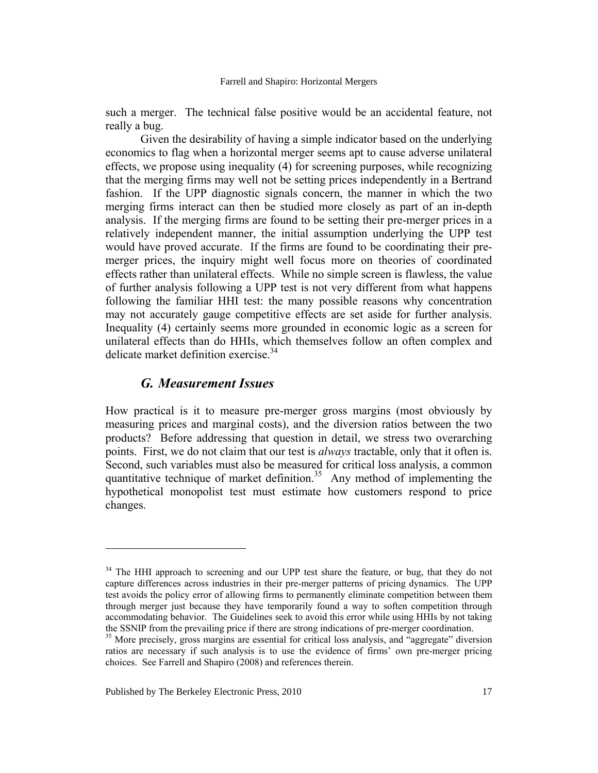such a merger. The technical false positive would be an accidental feature, not really a bug.

Given the desirability of having a simple indicator based on the underlying economics to flag when a horizontal merger seems apt to cause adverse unilateral effects, we propose using inequality (4) for screening purposes, while recognizing that the merging firms may well not be setting prices independently in a Bertrand fashion. If the UPP diagnostic signals concern, the manner in which the two merging firms interact can then be studied more closely as part of an in-depth analysis. If the merging firms are found to be setting their pre-merger prices in a relatively independent manner, the initial assumption underlying the UPP test would have proved accurate. If the firms are found to be coordinating their premerger prices, the inquiry might well focus more on theories of coordinated effects rather than unilateral effects. While no simple screen is flawless, the value of further analysis following a UPP test is not very different from what happens following the familiar HHI test: the many possible reasons why concentration may not accurately gauge competitive effects are set aside for further analysis. Inequality (4) certainly seems more grounded in economic logic as a screen for unilateral effects than do HHIs, which themselves follow an often complex and delicate market definition exercise.<sup>34</sup>

#### *G. Measurement Issues*

How practical is it to measure pre-merger gross margins (most obviously by measuring prices and marginal costs), and the diversion ratios between the two products? Before addressing that question in detail, we stress two overarching points. First, we do not claim that our test is *always* tractable, only that it often is. Second, such variables must also be measured for critical loss analysis, a common quantitative technique of market definition.<sup>35</sup> Any method of implementing the hypothetical monopolist test must estimate how customers respond to price changes.

<sup>&</sup>lt;sup>34</sup> The HHI approach to screening and our UPP test share the feature, or bug, that they do not capture differences across industries in their pre-merger patterns of pricing dynamics. The UPP test avoids the policy error of allowing firms to permanently eliminate competition between them through merger just because they have temporarily found a way to soften competition through accommodating behavior. The Guidelines seek to avoid this error while using HHIs by not taking the SSNIP from the prevailing price if there are strong indications of pre-merger coordination.

<sup>&</sup>lt;sup>35</sup> More precisely, gross margins are essential for critical loss analysis, and "aggregate" diversion ratios are necessary if such analysis is to use the evidence of firms' own pre-merger pricing choices. See Farrell and Shapiro (2008) and references therein.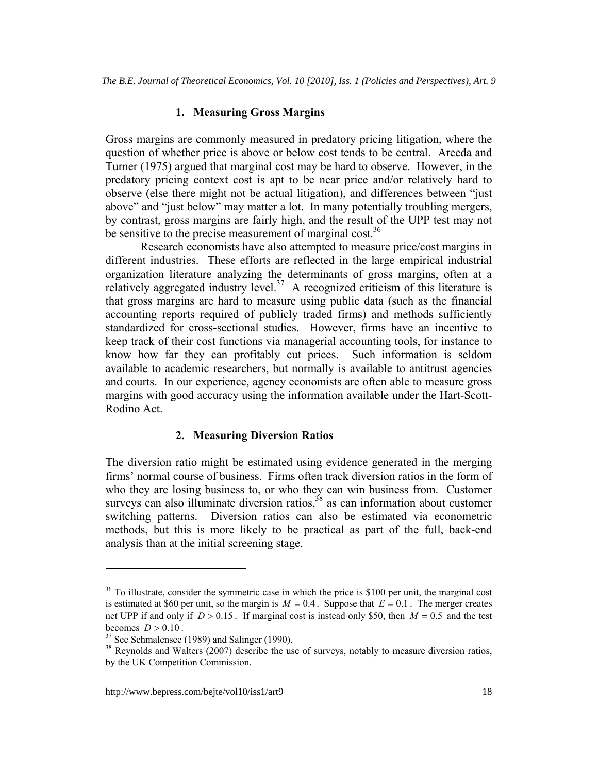#### **1. Measuring Gross Margins**

Gross margins are commonly measured in predatory pricing litigation, where the question of whether price is above or below cost tends to be central. Areeda and Turner (1975) argued that marginal cost may be hard to observe. However, in the predatory pricing context cost is apt to be near price and/or relatively hard to observe (else there might not be actual litigation), and differences between "just above" and "just below" may matter a lot. In many potentially troubling mergers, by contrast, gross margins are fairly high, and the result of the UPP test may not be sensitive to the precise measurement of marginal cost.<sup>36</sup>

Research economists have also attempted to measure price/cost margins in different industries. These efforts are reflected in the large empirical industrial organization literature analyzing the determinants of gross margins, often at a relatively aggregated industry level.<sup>37</sup> A recognized criticism of this literature is that gross margins are hard to measure using public data (such as the financial accounting reports required of publicly traded firms) and methods sufficiently standardized for cross-sectional studies. However, firms have an incentive to keep track of their cost functions via managerial accounting tools, for instance to know how far they can profitably cut prices. Such information is seldom available to academic researchers, but normally is available to antitrust agencies and courts. In our experience, agency economists are often able to measure gross margins with good accuracy using the information available under the Hart-Scott-Rodino Act.

#### **2. Measuring Diversion Ratios**

The diversion ratio might be estimated using evidence generated in the merging firms' normal course of business. Firms often track diversion ratios in the form of who they are losing business to, or who they can win business from. Customer surveys can also illuminate diversion ratios,  $38$  as can information about customer switching patterns. Diversion ratios can also be estimated via econometric methods, but this is more likely to be practical as part of the full, back-end analysis than at the initial screening stage.

 $36$  To illustrate, consider the symmetric case in which the price is \$100 per unit, the marginal cost is estimated at \$60 per unit, so the margin is  $M = 0.4$ . Suppose that  $E = 0.1$ . The merger creates net UPP if and only if  $D > 0.15$ . If marginal cost is instead only \$50, then  $M = 0.5$  and the test becomes  $D > 0.10$ .<br><sup>37</sup> See Schmalensee (1989) and Salinger (1990).

<sup>&</sup>lt;sup>38</sup> Reynolds and Walters (2007) describe the use of surveys, notably to measure diversion ratios, by the UK Competition Commission.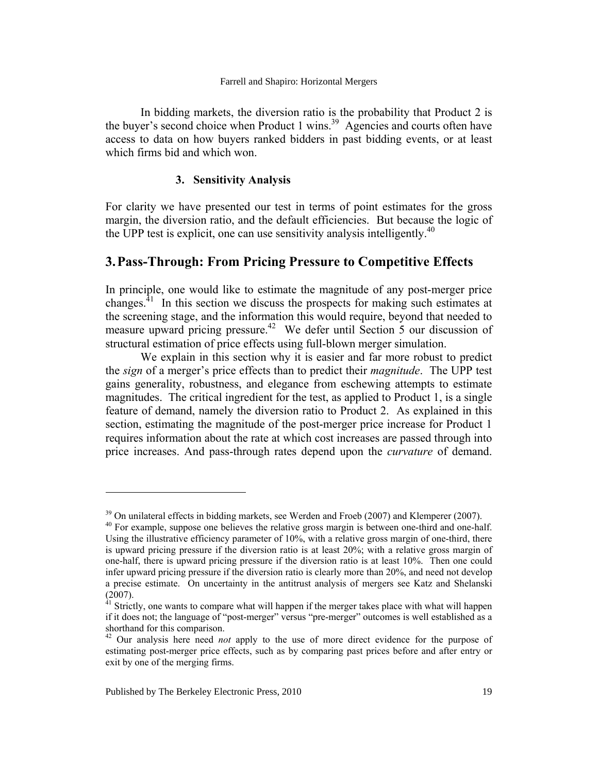#### Farrell and Shapiro: Horizontal Mergers

In bidding markets, the diversion ratio is the probability that Product 2 is the buyer's second choice when Product 1 wins.<sup>39</sup> Agencies and courts often have access to data on how buyers ranked bidders in past bidding events, or at least which firms bid and which won.

#### **3. Sensitivity Analysis**

For clarity we have presented our test in terms of point estimates for the gross margin, the diversion ratio, and the default efficiencies. But because the logic of the UPP test is explicit, one can use sensitivity analysis intelligently.<sup>40</sup>

#### **3.Pass-Through: From Pricing Pressure to Competitive Effects**

In principle, one would like to estimate the magnitude of any post-merger price changes.<sup>41</sup> In this section we discuss the prospects for making such estimates at the screening stage, and the information this would require, beyond that needed to measure upward pricing pressure.<sup>42</sup> We defer until Section  $\tilde{5}$  our discussion of structural estimation of price effects using full-blown merger simulation.

We explain in this section why it is easier and far more robust to predict the *sign* of a merger's price effects than to predict their *magnitude*. The UPP test gains generality, robustness, and elegance from eschewing attempts to estimate magnitudes. The critical ingredient for the test, as applied to Product 1, is a single feature of demand, namely the diversion ratio to Product 2. As explained in this section, estimating the magnitude of the post-merger price increase for Product 1 requires information about the rate at which cost increases are passed through into price increases. And pass-through rates depend upon the *curvature* of demand.

 $39$  On unilateral effects in bidding markets, see Werden and Froeb (2007) and Klemperer (2007).

<sup>&</sup>lt;sup>40</sup> For example, suppose one believes the relative gross margin is between one-third and one-half. Using the illustrative efficiency parameter of 10%, with a relative gross margin of one-third, there is upward pricing pressure if the diversion ratio is at least 20%; with a relative gross margin of one-half, there is upward pricing pressure if the diversion ratio is at least 10%. Then one could infer upward pricing pressure if the diversion ratio is clearly more than 20%, and need not develop a precise estimate. On uncertainty in the antitrust analysis of mergers see Katz and Shelanski (2007).

 $41$  Strictly, one wants to compare what will happen if the merger takes place with what will happen if it does not; the language of "post-merger" versus "pre-merger" outcomes is well established as a shorthand for this comparison.

<sup>42</sup> Our analysis here need *not* apply to the use of more direct evidence for the purpose of estimating post-merger price effects, such as by comparing past prices before and after entry or exit by one of the merging firms.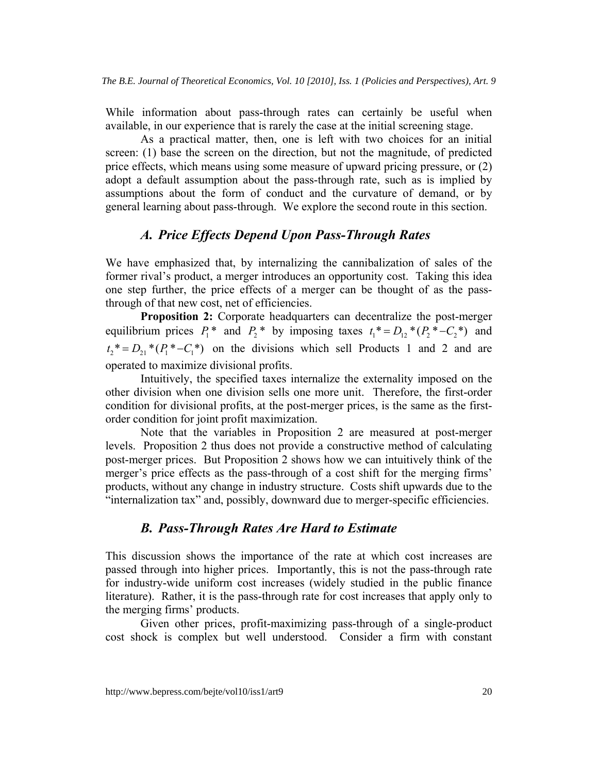While information about pass-through rates can certainly be useful when available, in our experience that is rarely the case at the initial screening stage.

As a practical matter, then, one is left with two choices for an initial screen: (1) base the screen on the direction, but not the magnitude, of predicted price effects, which means using some measure of upward pricing pressure, or (2) adopt a default assumption about the pass-through rate, such as is implied by assumptions about the form of conduct and the curvature of demand, or by general learning about pass-through. We explore the second route in this section.

#### *A. Price Effects Depend Upon Pass-Through Rates*

We have emphasized that, by internalizing the cannibalization of sales of the former rival's product, a merger introduces an opportunity cost. Taking this idea one step further, the price effects of a merger can be thought of as the passthrough of that new cost, net of efficiencies.

**Proposition 2:** Corporate headquarters can decentralize the post-merger equilibrium prices  $P_1^*$  and  $P_2^*$  by imposing taxes  $t_1^* = D_{12}^* (P_2^* - C_2^*)$  and  $t_2^* = D_{21}^* (P_1^* - C_1^*)$  on the divisions which sell Products 1 and 2 and are operated to maximize divisional profits.

Intuitively, the specified taxes internalize the externality imposed on the other division when one division sells one more unit. Therefore, the first-order condition for divisional profits, at the post-merger prices, is the same as the firstorder condition for joint profit maximization.

Note that the variables in Proposition 2 are measured at post-merger levels. Proposition 2 thus does not provide a constructive method of calculating post-merger prices. But Proposition 2 shows how we can intuitively think of the merger's price effects as the pass-through of a cost shift for the merging firms' products, without any change in industry structure. Costs shift upwards due to the "internalization tax" and, possibly, downward due to merger-specific efficiencies.

#### *B. Pass-Through Rates Are Hard to Estimate*

This discussion shows the importance of the rate at which cost increases are passed through into higher prices. Importantly, this is not the pass-through rate for industry-wide uniform cost increases (widely studied in the public finance literature). Rather, it is the pass-through rate for cost increases that apply only to the merging firms' products.

Given other prices, profit-maximizing pass-through of a single-product cost shock is complex but well understood. Consider a firm with constant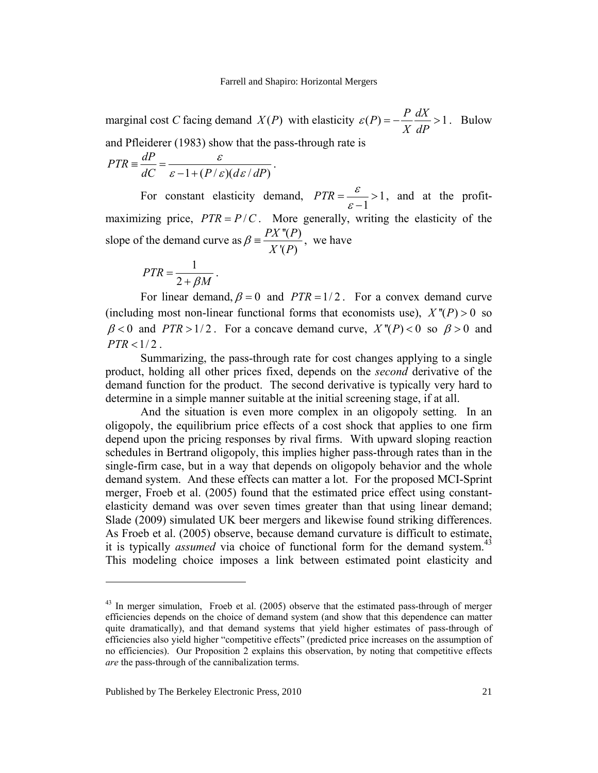marginal cost *C* facing demand  $X(P)$  with elasticity  $\varepsilon(P) = -\frac{P}{Z} \frac{dX}{dx} > 1$ *X dP*  $\varepsilon(P) = -\frac{1}{\sqrt{2}} \frac{dA}{dr} > 1$ . Bulow and Pfleiderer (1983) show that the pass-through rate is

$$
PTR \equiv \frac{dP}{dC} = \frac{\varepsilon}{\varepsilon - 1 + (P/\varepsilon)(d\varepsilon/dP)}.
$$

For constant elasticity demand,  $PTR = \frac{6}{1} > 1$ 1  $PTR = \frac{\varepsilon}{\varepsilon - 1} > 1$ , and at the profitmaximizing price,  $PTR = P/C$ . More generally, writing the elasticity of the slope of the demand curve as  $\beta = \frac{PX''(P)}{Y''(P)}$  $P$  $\beta \equiv \frac{PX''(P)}{X'(P)}$ , we have

$$
PTR = \frac{1}{2 + \beta M}.
$$

For linear demand,  $\beta = 0$  and  $PTR = 1/2$ . For a convex demand curve (including most non-linear functional forms that economists use),  $X''(P) > 0$  so  $\beta$  < 0 and *PTR* > 1/2. For a concave demand curve,  $X''(P)$  < 0 so  $\beta$  > 0 and  $PTR < 1/2$ .

Summarizing, the pass-through rate for cost changes applying to a single product, holding all other prices fixed, depends on the *second* derivative of the demand function for the product. The second derivative is typically very hard to determine in a simple manner suitable at the initial screening stage, if at all.

And the situation is even more complex in an oligopoly setting. In an oligopoly, the equilibrium price effects of a cost shock that applies to one firm depend upon the pricing responses by rival firms. With upward sloping reaction schedules in Bertrand oligopoly, this implies higher pass-through rates than in the single-firm case, but in a way that depends on oligopoly behavior and the whole demand system. And these effects can matter a lot. For the proposed MCI-Sprint merger, Froeb et al. (2005) found that the estimated price effect using constantelasticity demand was over seven times greater than that using linear demand; Slade (2009) simulated UK beer mergers and likewise found striking differences. As Froeb et al. (2005) observe, because demand curvature is difficult to estimate, it is typically *assumed* via choice of functional form for the demand system.<sup>43</sup> This modeling choice imposes a link between estimated point elasticity and

 $43$  In merger simulation, Froeb et al. (2005) observe that the estimated pass-through of merger efficiencies depends on the choice of demand system (and show that this dependence can matter quite dramatically), and that demand systems that yield higher estimates of pass-through of efficiencies also yield higher "competitive effects" (predicted price increases on the assumption of no efficiencies). Our Proposition 2 explains this observation, by noting that competitive effects *are* the pass-through of the cannibalization terms.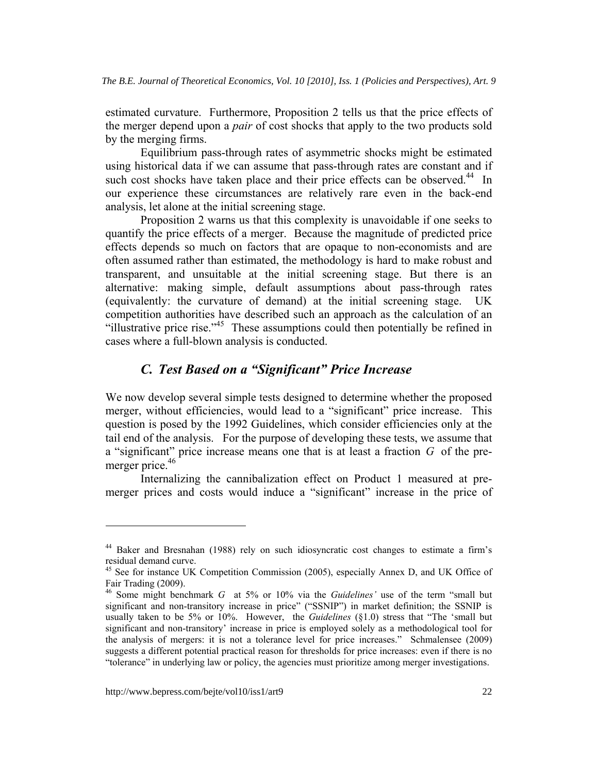estimated curvature. Furthermore, Proposition 2 tells us that the price effects of the merger depend upon a *pair* of cost shocks that apply to the two products sold by the merging firms.

Equilibrium pass-through rates of asymmetric shocks might be estimated using historical data if we can assume that pass-through rates are constant and if such cost shocks have taken place and their price effects can be observed.<sup>44</sup> In our experience these circumstances are relatively rare even in the back-end analysis, let alone at the initial screening stage.

Proposition 2 warns us that this complexity is unavoidable if one seeks to quantify the price effects of a merger. Because the magnitude of predicted price effects depends so much on factors that are opaque to non-economists and are often assumed rather than estimated, the methodology is hard to make robust and transparent, and unsuitable at the initial screening stage. But there is an alternative: making simple, default assumptions about pass-through rates (equivalently: the curvature of demand) at the initial screening stage. UK competition authorities have described such an approach as the calculation of an "illustrative price rise."<sup>45</sup> These assumptions could then potentially be refined in cases where a full-blown analysis is conducted.

#### *C. Test Based on a "Significant" Price Increase*

We now develop several simple tests designed to determine whether the proposed merger, without efficiencies, would lead to a "significant" price increase. This question is posed by the 1992 Guidelines, which consider efficiencies only at the tail end of the analysis. For the purpose of developing these tests, we assume that a "significant" price increase means one that is at least a fraction *G* of the premerger price.<sup>46</sup>

Internalizing the cannibalization effect on Product 1 measured at premerger prices and costs would induce a "significant" increase in the price of

<sup>44</sup> Baker and Bresnahan (1988) rely on such idiosyncratic cost changes to estimate a firm's residual demand curve.

<sup>&</sup>lt;sup>45</sup> See for instance UK Competition Commission (2005), especially Annex D, and UK Office of Fair Trading (2009).

<sup>46</sup> Some might benchmark *G* at 5% or 10% via the *Guidelines'* use of the term "small but significant and non-transitory increase in price" ("SSNIP") in market definition; the SSNIP is usually taken to be 5% or 10%. However, the *Guidelines* (§1.0) stress that "The 'small but significant and non-transitory' increase in price is employed solely as a methodological tool for the analysis of mergers: it is not a tolerance level for price increases." Schmalensee (2009) suggests a different potential practical reason for thresholds for price increases: even if there is no "tolerance" in underlying law or policy, the agencies must prioritize among merger investigations.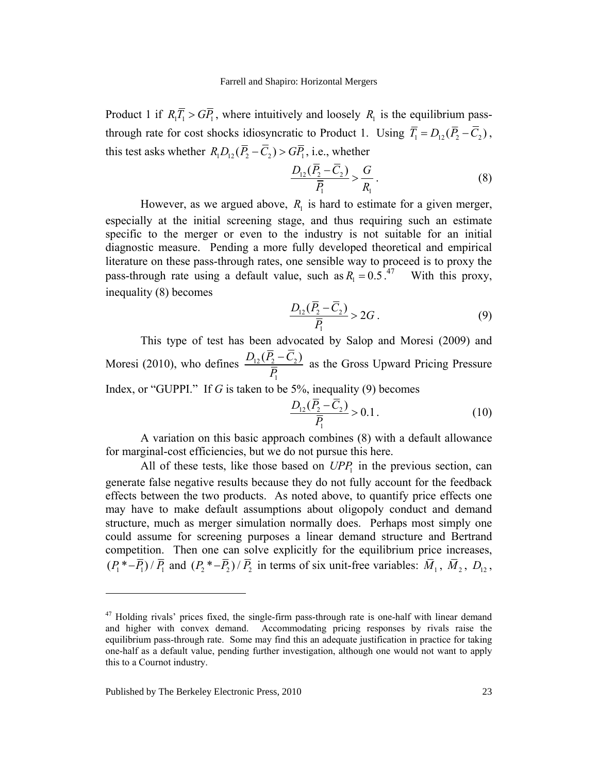Product 1 if  $R_1\overline{T}_1 > G\overline{P}_1$ , where intuitively and loosely  $R_1$  is the equilibrium passthrough rate for cost shocks idiosyncratic to Product 1. Using  $\overline{T}_1 = D_{12} (\overline{P}_2 - \overline{C}_2)$ , this test asks whether  $R_1 D_1$ ,  $(\overline{P_2} - \overline{C_2}) > G\overline{P_1}$ , i.e., whether

$$
\frac{D_{12}(\bar{P}_2 - \bar{C}_2)}{\bar{P}_1} > \frac{G}{R_1}.
$$
 (8)

However, as we argued above,  $R_1$  is hard to estimate for a given merger, especially at the initial screening stage, and thus requiring such an estimate specific to the merger or even to the industry is not suitable for an initial diagnostic measure. Pending a more fully developed theoretical and empirical literature on these pass-through rates, one sensible way to proceed is to proxy the pass-through rate using a default value, such as  $R_1 = 0.5$ .<sup>47</sup> With this proxy, inequality (8) becomes

$$
\frac{D_{12}(\overline{P}_2 - \overline{C}_2)}{\overline{P}_1} > 2G.
$$
 (9)

This type of test has been advocated by Salop and Moresi (2009) and Moresi (2010), who defines  $\frac{D_{12} (P_2 - C_2)}{\overline{P_2}}$ 1  $D_{12}(\overline{P_2}-C_2)$  $\bar{P}_{1}$  $\frac{-C_2}{2}$  as the Gross Upward Pricing Pressure Index, or "GUPPI." If *G* is taken to be 5%, inequality (9) becomes

$$
\frac{D_{12}(\overline{P}_2 - \overline{C}_2)}{\overline{P}_1} > 0.1.
$$
 (10)

A variation on this basic approach combines (8) with a default allowance for marginal-cost efficiencies, but we do not pursue this here.

All of these tests, like those based on  $UPP<sub>1</sub>$  in the previous section, can generate false negative results because they do not fully account for the feedback effects between the two products. As noted above, to quantify price effects one may have to make default assumptions about oligopoly conduct and demand structure, much as merger simulation normally does. Perhaps most simply one could assume for screening purposes a linear demand structure and Bertrand competition. Then one can solve explicitly for the equilibrium price increases,  $(P_1^* - \overline{P_1})/\overline{P_1}$  and  $(P_2^* - \overline{P_2})/\overline{P_2}$  in terms of six unit-free variables:  $\overline{M}_1$ ,  $\overline{M}_2$ ,  $D_{12}$ ,

<u>.</u>

 $47$  Holding rivals' prices fixed, the single-firm pass-through rate is one-half with linear demand and higher with convex demand. Accommodating pricing responses by rivals raise the equilibrium pass-through rate. Some may find this an adequate justification in practice for taking one-half as a default value, pending further investigation, although one would not want to apply this to a Cournot industry.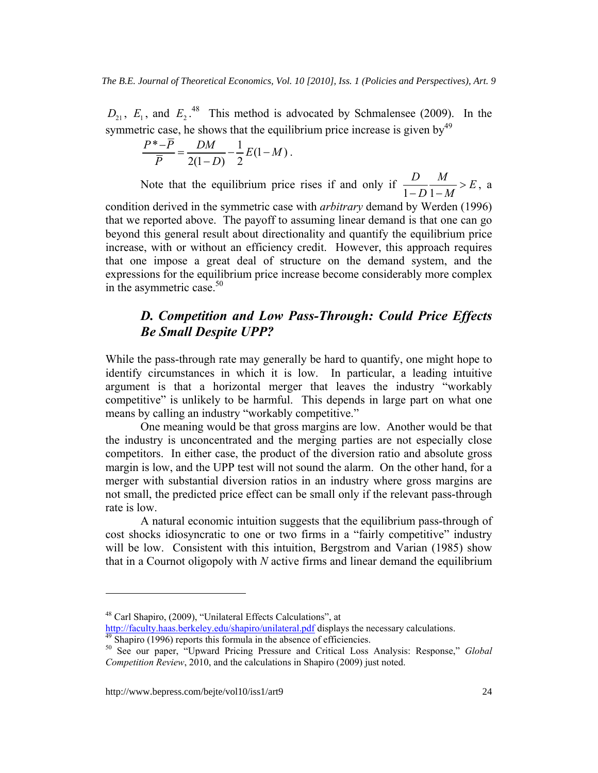$D_{21}$ ,  $E_1$ , and  $E_2$ <sup>48</sup> This method is advocated by Schmalensee (2009). In the symmetric case, he shows that the equilibrium price increase is given by $49$ 

$$
\frac{P^*-\overline{P}}{\overline{P}} = \frac{DM}{2(1-D)} - \frac{1}{2}E(1-M) .
$$

Note that the equilibrium price rises if and only if  $\frac{D}{1-D} \frac{M}{1-M} > E$  $\frac{D}{-D} \frac{M}{1-M} > E$ , a

condition derived in the symmetric case with *arbitrary* demand by Werden (1996) that we reported above. The payoff to assuming linear demand is that one can go beyond this general result about directionality and quantify the equilibrium price increase, with or without an efficiency credit. However, this approach requires that one impose a great deal of structure on the demand system, and the expressions for the equilibrium price increase become considerably more complex in the asymmetric case. $50$ 

## *D. Competition and Low Pass-Through: Could Price Effects Be Small Despite UPP?*

While the pass-through rate may generally be hard to quantify, one might hope to identify circumstances in which it is low. In particular, a leading intuitive argument is that a horizontal merger that leaves the industry "workably competitive" is unlikely to be harmful. This depends in large part on what one means by calling an industry "workably competitive."

One meaning would be that gross margins are low. Another would be that the industry is unconcentrated and the merging parties are not especially close competitors. In either case, the product of the diversion ratio and absolute gross margin is low, and the UPP test will not sound the alarm. On the other hand, for a merger with substantial diversion ratios in an industry where gross margins are not small, the predicted price effect can be small only if the relevant pass-through rate is low.

A natural economic intuition suggests that the equilibrium pass-through of cost shocks idiosyncratic to one or two firms in a "fairly competitive" industry will be low. Consistent with this intuition, Bergstrom and Varian (1985) show that in a Cournot oligopoly with *N* active firms and linear demand the equilibrium

<sup>&</sup>lt;sup>48</sup> Carl Shapiro, (2009), "Unilateral Effects Calculations", at  $\frac{http://faculty.haas.berkeley.edu/shapiro/unilateral.pdf}{http://faculty.haas.berkeley.edu/shapiro/unilateral.pdf}$  displays the necessary calculations.

 $\frac{49}{50}$  Shapiro (1996) reports this formula in the absence of efficiencies.<br><sup>50</sup> See our paper, "Upward Pricing Pressure and Critical Loss Analysis: Response," *Global Competition Review*, 2010, and the calculations in Shapiro (2009) just noted.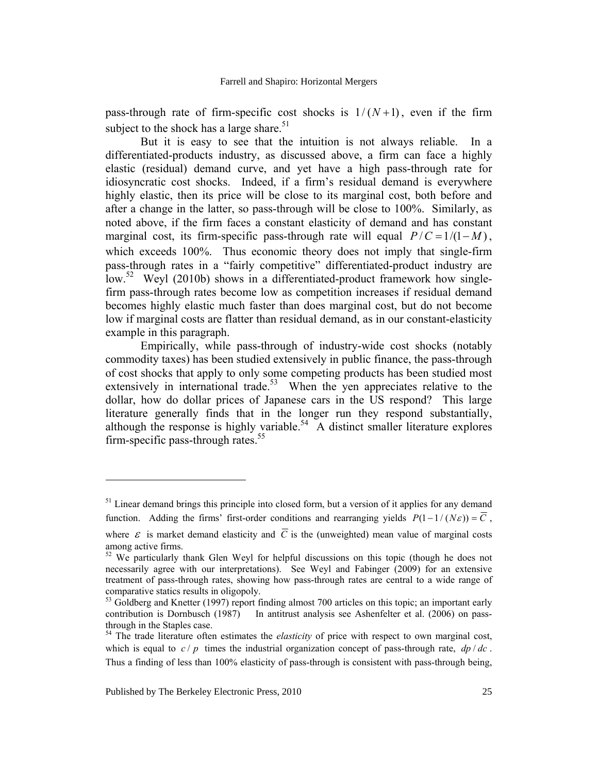pass-through rate of firm-specific cost shocks is  $1/(N+1)$ , even if the firm subject to the shock has a large share.<sup>51</sup>

But it is easy to see that the intuition is not always reliable. In a differentiated-products industry, as discussed above, a firm can face a highly elastic (residual) demand curve, and yet have a high pass-through rate for idiosyncratic cost shocks. Indeed, if a firm's residual demand is everywhere highly elastic, then its price will be close to its marginal cost, both before and after a change in the latter, so pass-through will be close to 100%. Similarly, as noted above, if the firm faces a constant elasticity of demand and has constant marginal cost, its firm-specific pass-through rate will equal  $P/C = 1/(1 - M)$ , which exceeds 100%. Thus economic theory does not imply that single-firm pass-through rates in a "fairly competitive" differentiated-product industry are low.<sup>52</sup> Weyl (2010b) shows in a differentiated-product framework how singlefirm pass-through rates become low as competition increases if residual demand becomes highly elastic much faster than does marginal cost, but do not become low if marginal costs are flatter than residual demand, as in our constant-elasticity example in this paragraph.

Empirically, while pass-through of industry-wide cost shocks (notably commodity taxes) has been studied extensively in public finance, the pass-through of cost shocks that apply to only some competing products has been studied most extensively in international trade.<sup>53</sup> When the yen appreciates relative to the dollar, how do dollar prices of Japanese cars in the US respond? This large literature generally finds that in the longer run they respond substantially, although the response is highly variable.<sup>54</sup> A distinct smaller literature explores firm-specific pass-through rates. $55$ 

<sup>&</sup>lt;sup>51</sup> Linear demand brings this principle into closed form, but a version of it applies for any demand function. Adding the firms' first-order conditions and rearranging yields  $P(1-1/(N\epsilon)) = \overline{C}$ ,

where  $\varepsilon$  is market demand elasticity and  $\overline{C}$  is the (unweighted) mean value of marginal costs among active firms.

 $52$  We particularly thank Glen Weyl for helpful discussions on this topic (though he does not necessarily agree with our interpretations). See Weyl and Fabinger (2009) for an extensive treatment of pass-through rates, showing how pass-through rates are central to a wide range of comparative statics results in oligopoly.

<sup>&</sup>lt;sup>53</sup> Goldberg and Knetter (1997) report finding almost 700 articles on this topic; an important early contribution is Dornbusch (1987) In antitrust analysis see Ashenfelter et al. (2006) on passthrough in the Staples case.

<sup>54</sup> The trade literature often estimates the *elasticity* of price with respect to own marginal cost, which is equal to  $c/p$  times the industrial organization concept of pass-through rate,  $dp/dc$ . Thus a finding of less than 100% elasticity of pass-through is consistent with pass-through being,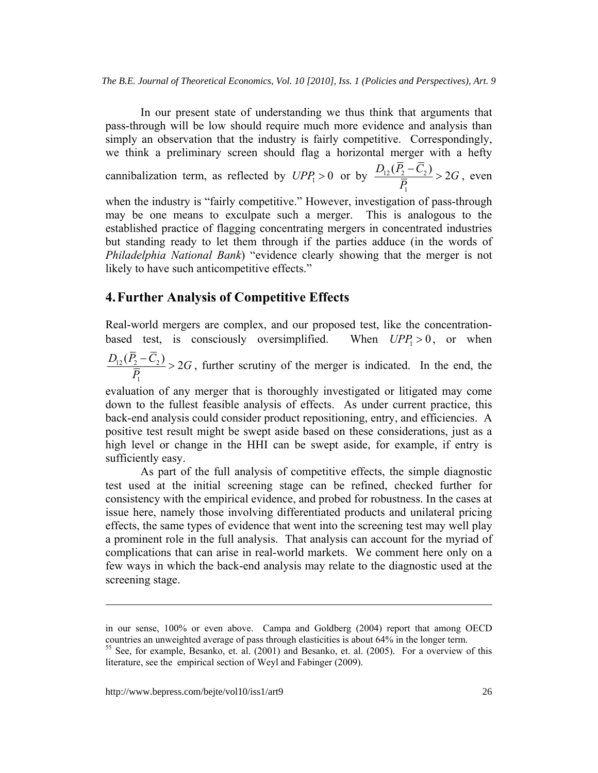*The B.E. Journal of Theoretical Economics, Vol. 10 [2010], Iss. 1 (Policies and Perspectives), Art. 9*

In our present state of understanding we thus think that arguments that pass-through will be low should require much more evidence and analysis than simply an observation that the industry is fairly competitive. Correspondingly, we think a preliminary screen should flag a horizontal merger with a hefty cannibalization term, as reflected by  $UPP_1 > 0$  or by  $\frac{D_{12}(1 \frac{1}{2} - C_2)}{P_1}$ 1  $\frac{D_{12}(P_2 - C_2)}{E} > 2G$ *P*  $-\overline{C_2}$ ) > 2G, even

when the industry is "fairly competitive." However, investigation of pass-through may be one means to exculpate such a merger. This is analogous to the established practice of flagging concentrating mergers in concentrated industries but standing ready to let them through if the parties adduce (in the words of *Philadelphia National Bank*) "evidence clearly showing that the merger is not likely to have such anticompetitive effects."

## **4.Further Analysis of Competitive Effects**

Real-world mergers are complex, and our proposed test, like the concentrationbased test, is consciously oversimplified. When  $UPP_1 > 0$ , or when

 $\frac{D_{12}(P_2 - C_2)}{E} > 2G$ 1 *P*  $-\overline{C_2}$ ) > 2G, further scrutiny of the merger is indicated. In the end, the

evaluation of any merger that is thoroughly investigated or litigated may come down to the fullest feasible analysis of effects. As under current practice, this back-end analysis could consider product repositioning, entry, and efficiencies. A positive test result might be swept aside based on these considerations, just as a high level or change in the HHI can be swept aside, for example, if entry is sufficiently easy.

As part of the full analysis of competitive effects, the simple diagnostic test used at the initial screening stage can be refined, checked further for consistency with the empirical evidence, and probed for robustness. In the cases at issue here, namely those involving differentiated products and unilateral pricing effects, the same types of evidence that went into the screening test may well play a prominent role in the full analysis. That analysis can account for the myriad of complications that can arise in real-world markets. We comment here only on a few ways in which the back-end analysis may relate to the diagnostic used at the screening stage.

in our sense, 100% or even above. Campa and Goldberg (2004) report that among OECD countries an unweighted average of pass through elasticities is about 64% in the longer term.<br><sup>55</sup> See, for example, Besanko, et. al. (2001) and Besanko, et. al. (2005). For a overview of this

literature, see the empirical section of Weyl and Fabinger (2009).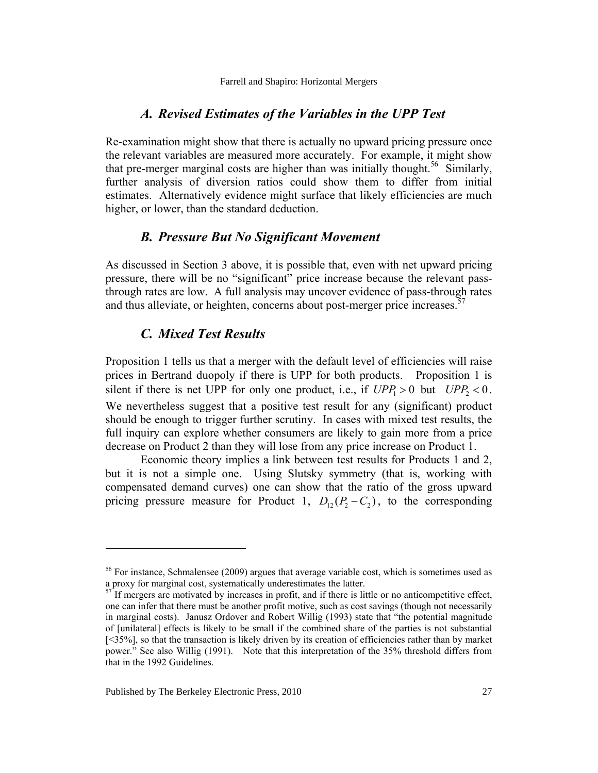## *A. Revised Estimates of the Variables in the UPP Test*

Re-examination might show that there is actually no upward pricing pressure once the relevant variables are measured more accurately. For example, it might show that pre-merger marginal costs are higher than was initially thought.<sup>56</sup> Similarly, further analysis of diversion ratios could show them to differ from initial estimates. Alternatively evidence might surface that likely efficiencies are much higher, or lower, than the standard deduction.

#### *B. Pressure But No Significant Movement*

As discussed in Section 3 above, it is possible that, even with net upward pricing pressure, there will be no "significant" price increase because the relevant passthrough rates are low. A full analysis may uncover evidence of pass-through rates and thus alleviate, or heighten, concerns about post-merger price increases.<sup>57</sup>

## *C. Mixed Test Results*

Proposition 1 tells us that a merger with the default level of efficiencies will raise prices in Bertrand duopoly if there is UPP for both products. Proposition 1 is silent if there is net UPP for only one product, i.e., if  $UPP_1 > 0$  but  $UPP_2 < 0$ . We nevertheless suggest that a positive test result for any (significant) product should be enough to trigger further scrutiny. In cases with mixed test results, the full inquiry can explore whether consumers are likely to gain more from a price decrease on Product 2 than they will lose from any price increase on Product 1.

Economic theory implies a link between test results for Products 1 and 2, but it is not a simple one. Using Slutsky symmetry (that is, working with compensated demand curves) one can show that the ratio of the gross upward pricing pressure measure for Product 1,  $D_{12}(P_2 - C_2)$ , to the corresponding

<sup>&</sup>lt;sup>56</sup> For instance, Schmalensee (2009) argues that average variable cost, which is sometimes used as a proxy for marginal cost, systematically underestimates the latter.

<sup>57</sup> If mergers are motivated by increases in profit, and if there is little or no anticompetitive effect, one can infer that there must be another profit motive, such as cost savings (though not necessarily in marginal costs). Janusz Ordover and Robert Willig (1993) state that "the potential magnitude of [unilateral] effects is likely to be small if the combined share of the parties is not substantial [<35%], so that the transaction is likely driven by its creation of efficiencies rather than by market power." See also Willig (1991). Note that this interpretation of the 35% threshold differs from that in the 1992 Guidelines.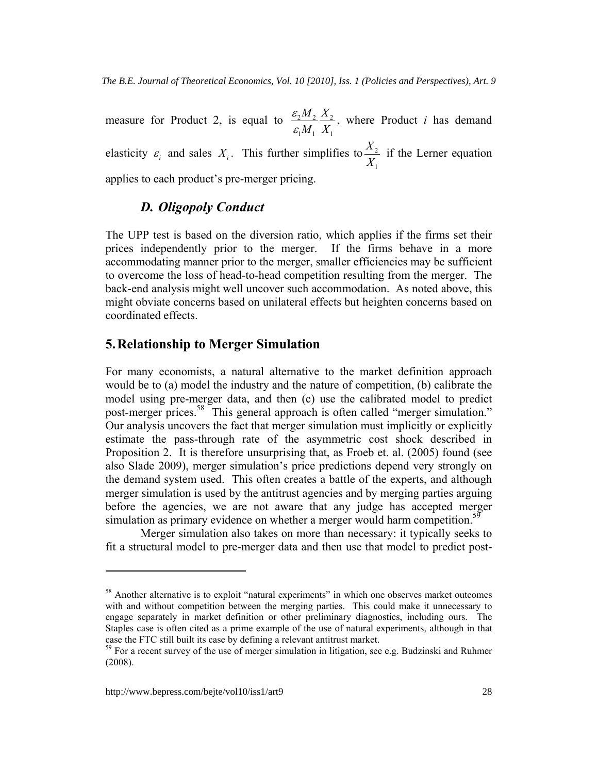*The B.E. Journal of Theoretical Economics, Vol. 10 [2010], Iss. 1 (Policies and Perspectives), Art. 9*

measure for Product 2, is equal to  $\frac{c_2 m_2}{\sigma} \frac{\Lambda_2}{\Lambda_2}$  $1^{11}$  1  $-1$  $M, X$  $M_1$   $\overline{X}$ ε  $\frac{\epsilon_2 M_2}{\epsilon_1 M_1} \frac{X_2}{X_1}$ , where Product *i* has demand elasticity  $\varepsilon_i$  and sales  $X_i$ . This further simplifies to  $\frac{X_2}{Y}$ 1  $\frac{X_2}{X_1}$  if the Lerner equation applies to each product's pre-merger pricing.

## *D. Oligopoly Conduct*

The UPP test is based on the diversion ratio, which applies if the firms set their prices independently prior to the merger. If the firms behave in a more accommodating manner prior to the merger, smaller efficiencies may be sufficient to overcome the loss of head-to-head competition resulting from the merger. The back-end analysis might well uncover such accommodation. As noted above, this might obviate concerns based on unilateral effects but heighten concerns based on coordinated effects.

## **5.Relationship to Merger Simulation**

For many economists, a natural alternative to the market definition approach would be to (a) model the industry and the nature of competition, (b) calibrate the model using pre-merger data, and then (c) use the calibrated model to predict post-merger prices.<sup>58</sup> This general approach is often called "merger simulation." Our analysis uncovers the fact that merger simulation must implicitly or explicitly estimate the pass-through rate of the asymmetric cost shock described in Proposition 2. It is therefore unsurprising that, as Froeb et. al. (2005) found (see also Slade 2009), merger simulation's price predictions depend very strongly on the demand system used. This often creates a battle of the experts, and although merger simulation is used by the antitrust agencies and by merging parties arguing before the agencies, we are not aware that any judge has accepted merger simulation as primary evidence on whether a merger would harm competition.<sup>59</sup>

Merger simulation also takes on more than necessary: it typically seeks to fit a structural model to pre-merger data and then use that model to predict post-

<sup>&</sup>lt;sup>58</sup> Another alternative is to exploit "natural experiments" in which one observes market outcomes with and without competition between the merging parties. This could make it unnecessary to engage separately in market definition or other preliminary diagnostics, including ours. The Staples case is often cited as a prime example of the use of natural experiments, although in that case the FTC still built its case by defining a relevant antitrust market.

 $59$  For a recent survey of the use of merger simulation in litigation, see e.g. Budzinski and Ruhmer (2008).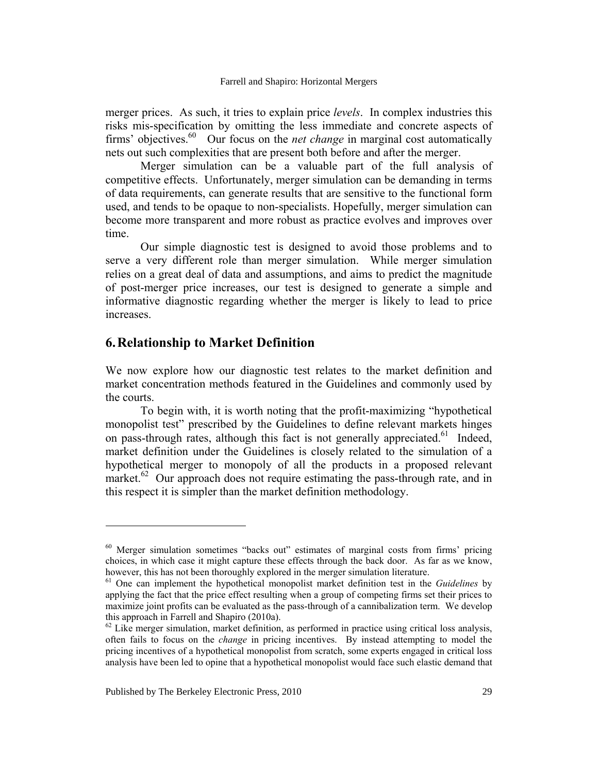merger prices. As such, it tries to explain price *levels*. In complex industries this risks mis-specification by omitting the less immediate and concrete aspects of firms' objectives.60 Our focus on the *net change* in marginal cost automatically nets out such complexities that are present both before and after the merger.

Merger simulation can be a valuable part of the full analysis of competitive effects. Unfortunately, merger simulation can be demanding in terms of data requirements, can generate results that are sensitive to the functional form used, and tends to be opaque to non-specialists. Hopefully, merger simulation can become more transparent and more robust as practice evolves and improves over time.

Our simple diagnostic test is designed to avoid those problems and to serve a very different role than merger simulation. While merger simulation relies on a great deal of data and assumptions, and aims to predict the magnitude of post-merger price increases, our test is designed to generate a simple and informative diagnostic regarding whether the merger is likely to lead to price increases.

#### **6.Relationship to Market Definition**

We now explore how our diagnostic test relates to the market definition and market concentration methods featured in the Guidelines and commonly used by the courts.

To begin with, it is worth noting that the profit-maximizing "hypothetical monopolist test" prescribed by the Guidelines to define relevant markets hinges on pass-through rates, although this fact is not generally appreciated.<sup>61</sup> Indeed, market definition under the Guidelines is closely related to the simulation of a hypothetical merger to monopoly of all the products in a proposed relevant market. $62$  Our approach does not require estimating the pass-through rate, and in this respect it is simpler than the market definition methodology.

<sup>&</sup>lt;sup>60</sup> Merger simulation sometimes "backs out" estimates of marginal costs from firms' pricing choices, in which case it might capture these effects through the back door. As far as we know, however, this has not been thoroughly explored in the merger simulation literature. 61 One can implement the hypothetical monopolist market definition test in the *Guidelines* by

applying the fact that the price effect resulting when a group of competing firms set their prices to maximize joint profits can be evaluated as the pass-through of a cannibalization term. We develop this approach in Farrell and Shapiro (2010a).

 $^{62}$  Like merger simulation, market definition, as performed in practice using critical loss analysis, often fails to focus on the *change* in pricing incentives. By instead attempting to model the pricing incentives of a hypothetical monopolist from scratch, some experts engaged in critical loss analysis have been led to opine that a hypothetical monopolist would face such elastic demand that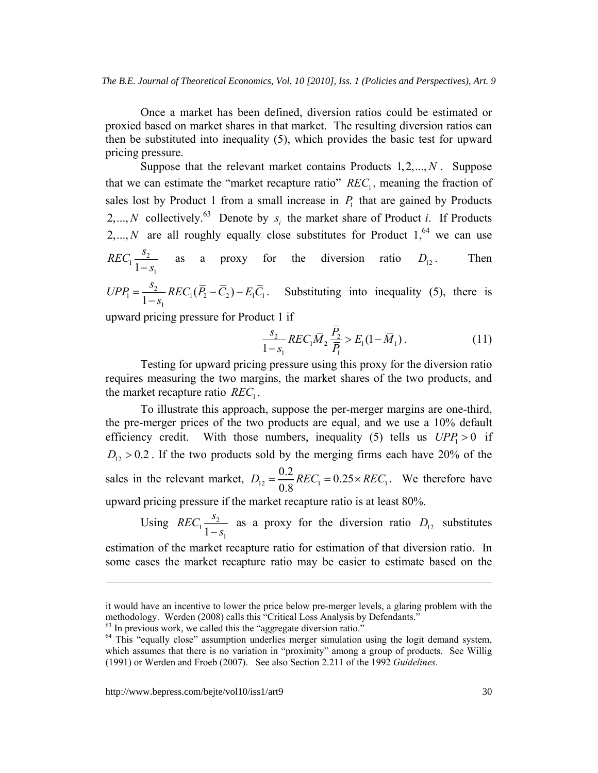Once a market has been defined, diversion ratios could be estimated or proxied based on market shares in that market. The resulting diversion ratios can then be substituted into inequality (5), which provides the basic test for upward pricing pressure.

Suppose that the relevant market contains Products 1,2,...,*N* . Suppose that we can estimate the "market recapture ratio"  $REC<sub>1</sub>$ , meaning the fraction of sales lost by Product 1 from a small increase in  $P_1$  that are gained by Products 2,..., *N* collectively.<sup>63</sup> Denote by  $s_i$  the market share of Product *i*. If Products  $2,..., N$  are all roughly equally close substitutes for Product  $1, <sup>64</sup>$  we can use  $REC_1 \frac{s_2}{1-s_1}$  as a proxy for the diversion ratio  $D_{12}$ . Then  $P_1 = \frac{32}{1}$   $REC_1(\overline{P}_2 - \overline{C}_2) - E_1\overline{C}_1$  $UPP_1 = \frac{s_2}{1 - s_1} REC_1(\overline{P}_2 - \overline{C}_2) - E_1\overline{C}_1$ . Substituting into inequality (5), there is upward pricing pressure for Product 1 if

$$
\frac{s_2}{1 - s_1} \, REC_1 \overline{M}_2 \, \frac{P_2}{\overline{P}_1} > E_1 (1 - \overline{M}_1) \,. \tag{11}
$$

Testing for upward pricing pressure using this proxy for the diversion ratio requires measuring the two margins, the market shares of the two products, and the market recapture ratio  $REC_1$ .

To illustrate this approach, suppose the per-merger margins are one-third, the pre-merger prices of the two products are equal, and we use a 10% default efficiency credit. With those numbers, inequality (5) tells us  $UPP_1 > 0$  if  $D_{12} > 0.2$ . If the two products sold by the merging firms each have 20% of the sales in the relevant market,  $D_{12} = \frac{0.2}{0.8}$  REC<sub>1</sub> = 0.25 × REC<sub>1</sub> 0.8  $D_{12} = \frac{0.2}{0.8}$  REC<sub>1</sub> = 0.25 × REC<sub>1</sub>. We therefore have upward pricing pressure if the market recapture ratio is at least 80%.

Using  $REC_1 \frac{s_2}{1-s_1}$  as a proxy for the diversion ratio  $D_{12}$  substitutes

estimation of the market recapture ratio for estimation of that diversion ratio. In some cases the market recapture ratio may be easier to estimate based on the

it would have an incentive to lower the price below pre-merger levels, a glaring problem with the methodology. Werden (2008) calls this "Critical Loss Analysis by Defendants."

 $63$  In previous work, we called this the "aggregate diversion ratio."

<sup>&</sup>lt;sup>64</sup> This "equally close" assumption underlies merger simulation using the logit demand system, which assumes that there is no variation in "proximity" among a group of products. See Willig (1991) or Werden and Froeb (2007). See also Section 2.211 of the 1992 *Guidelines*.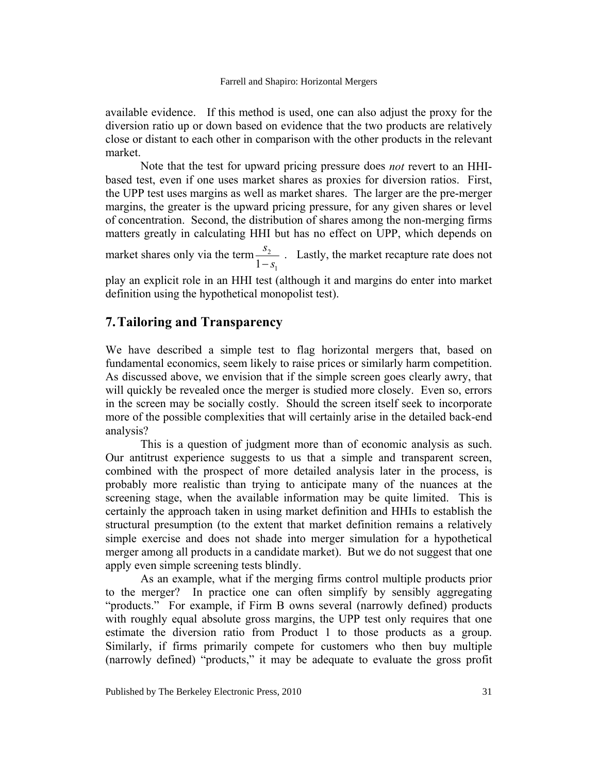available evidence. If this method is used, one can also adjust the proxy for the diversion ratio up or down based on evidence that the two products are relatively close or distant to each other in comparison with the other products in the relevant market.

Note that the test for upward pricing pressure does *not* revert to an HHIbased test, even if one uses market shares as proxies for diversion ratios. First, the UPP test uses margins as well as market shares. The larger are the pre-merger margins, the greater is the upward pricing pressure, for any given shares or level of concentration. Second, the distribution of shares among the non-merging firms matters greatly in calculating HHI but has no effect on UPP, which depends on

market shares only via the term  $\frac{32}{2}$  $1 - s_1$ *s* − *s* . Lastly, the market recapture rate does not

play an explicit role in an HHI test (although it and margins do enter into market definition using the hypothetical monopolist test).

# **7.Tailoring and Transparency**

We have described a simple test to flag horizontal mergers that, based on fundamental economics, seem likely to raise prices or similarly harm competition. As discussed above, we envision that if the simple screen goes clearly awry, that will quickly be revealed once the merger is studied more closely. Even so, errors in the screen may be socially costly. Should the screen itself seek to incorporate more of the possible complexities that will certainly arise in the detailed back-end analysis?

This is a question of judgment more than of economic analysis as such. Our antitrust experience suggests to us that a simple and transparent screen, combined with the prospect of more detailed analysis later in the process, is probably more realistic than trying to anticipate many of the nuances at the screening stage, when the available information may be quite limited. This is certainly the approach taken in using market definition and HHIs to establish the structural presumption (to the extent that market definition remains a relatively simple exercise and does not shade into merger simulation for a hypothetical merger among all products in a candidate market). But we do not suggest that one apply even simple screening tests blindly.

As an example, what if the merging firms control multiple products prior to the merger? In practice one can often simplify by sensibly aggregating "products." For example, if Firm B owns several (narrowly defined) products with roughly equal absolute gross margins, the UPP test only requires that one estimate the diversion ratio from Product 1 to those products as a group. Similarly, if firms primarily compete for customers who then buy multiple (narrowly defined) "products," it may be adequate to evaluate the gross profit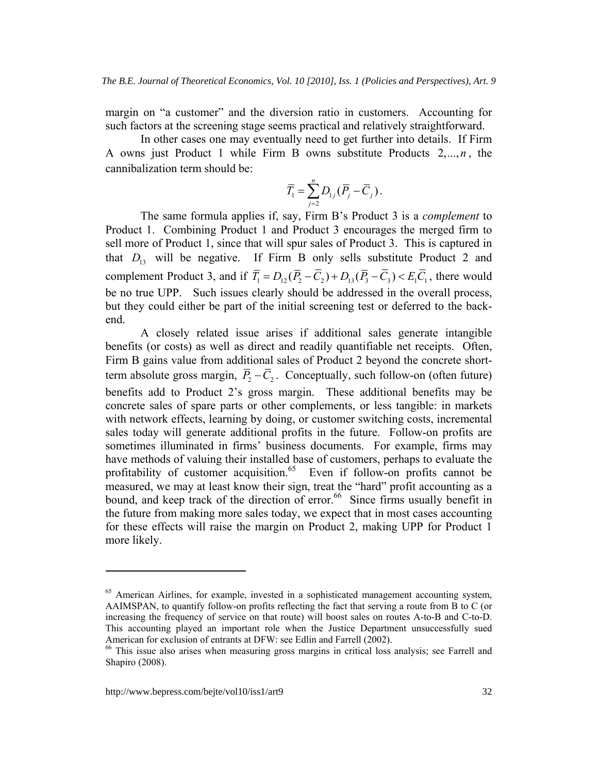margin on "a customer" and the diversion ratio in customers. Accounting for such factors at the screening stage seems practical and relatively straightforward.

In other cases one may eventually need to get further into details. If Firm A owns just Product 1 while Firm B owns substitute Products  $2, \ldots, n$ , the cannibalization term should be:

$$
\overline{T}_1 = \sum_{j=2}^n D_{1j} (\overline{P}_j - \overline{C}_j).
$$

The same formula applies if, say, Firm B's Product 3 is a *complement* to Product 1. Combining Product 1 and Product 3 encourages the merged firm to sell more of Product 1, since that will spur sales of Product 3. This is captured in that  $D_{13}$  will be negative. If Firm B only sells substitute Product 2 and complement Product 3, and if  $\overline{T}_1 = D_{12} (\overline{P}_2 - \overline{C}_2) + D_{13} (\overline{P}_3 - \overline{C}_3) < E_1 \overline{C}_1$ , there would be no true UPP. Such issues clearly should be addressed in the overall process, but they could either be part of the initial screening test or deferred to the backend.

A closely related issue arises if additional sales generate intangible benefits (or costs) as well as direct and readily quantifiable net receipts. Often, Firm B gains value from additional sales of Product 2 beyond the concrete shortterm absolute gross margin,  $\overline{P}_2 - \overline{C}_2$ . Conceptually, such follow-on (often future) benefits add to Product 2's gross margin. These additional benefits may be concrete sales of spare parts or other complements, or less tangible: in markets with network effects, learning by doing, or customer switching costs, incremental sales today will generate additional profits in the future. Follow-on profits are sometimes illuminated in firms' business documents. For example, firms may have methods of valuing their installed base of customers, perhaps to evaluate the profitability of customer acquisition.<sup>65</sup> Even if follow-on profits cannot be measured, we may at least know their sign, treat the "hard" profit accounting as a bound, and keep track of the direction of error.<sup>66</sup> Since firms usually benefit in the future from making more sales today, we expect that in most cases accounting for these effects will raise the margin on Product 2, making UPP for Product 1 more likely.

 $<sup>65</sup>$  American Airlines, for example, invested in a sophisticated management accounting system,</sup> AAIMSPAN, to quantify follow-on profits reflecting the fact that serving a route from B to C (or increasing the frequency of service on that route) will boost sales on routes A-to-B and C-to-D. This accounting played an important role when the Justice Department unsuccessfully sued American for exclusion of entrants at DFW: see Edlin and Farrell (2002).<br><sup>66</sup> This issue also arises when measuring gross margins in critical loss analysis; see Farrell and

Shapiro (2008).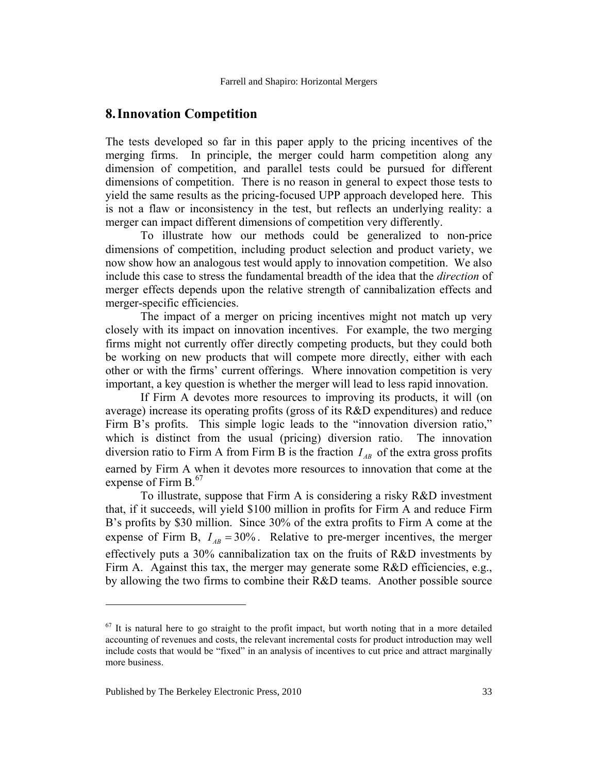#### **8.Innovation Competition**

The tests developed so far in this paper apply to the pricing incentives of the merging firms. In principle, the merger could harm competition along any dimension of competition, and parallel tests could be pursued for different dimensions of competition. There is no reason in general to expect those tests to yield the same results as the pricing-focused UPP approach developed here. This is not a flaw or inconsistency in the test, but reflects an underlying reality: a merger can impact different dimensions of competition very differently.

To illustrate how our methods could be generalized to non-price dimensions of competition, including product selection and product variety, we now show how an analogous test would apply to innovation competition. We also include this case to stress the fundamental breadth of the idea that the *direction* of merger effects depends upon the relative strength of cannibalization effects and merger-specific efficiencies.

The impact of a merger on pricing incentives might not match up very closely with its impact on innovation incentives. For example, the two merging firms might not currently offer directly competing products, but they could both be working on new products that will compete more directly, either with each other or with the firms' current offerings. Where innovation competition is very important, a key question is whether the merger will lead to less rapid innovation.

If Firm A devotes more resources to improving its products, it will (on average) increase its operating profits (gross of its R&D expenditures) and reduce Firm B's profits. This simple logic leads to the "innovation diversion ratio," which is distinct from the usual (pricing) diversion ratio. The innovation diversion ratio to Firm A from Firm B is the fraction  $I_{AB}$  of the extra gross profits earned by Firm A when it devotes more resources to innovation that come at the expense of Firm B.<sup>67</sup>

To illustrate, suppose that Firm A is considering a risky R&D investment that, if it succeeds, will yield \$100 million in profits for Firm A and reduce Firm B's profits by \$30 million. Since 30% of the extra profits to Firm A come at the expense of Firm B,  $I_{AB} = 30\%$ . Relative to pre-merger incentives, the merger effectively puts a 30% cannibalization tax on the fruits of R&D investments by Firm A. Against this tax, the merger may generate some R&D efficiencies, e.g., by allowing the two firms to combine their R&D teams. Another possible source

 $67$  It is natural here to go straight to the profit impact, but worth noting that in a more detailed accounting of revenues and costs, the relevant incremental costs for product introduction may well include costs that would be "fixed" in an analysis of incentives to cut price and attract marginally more business.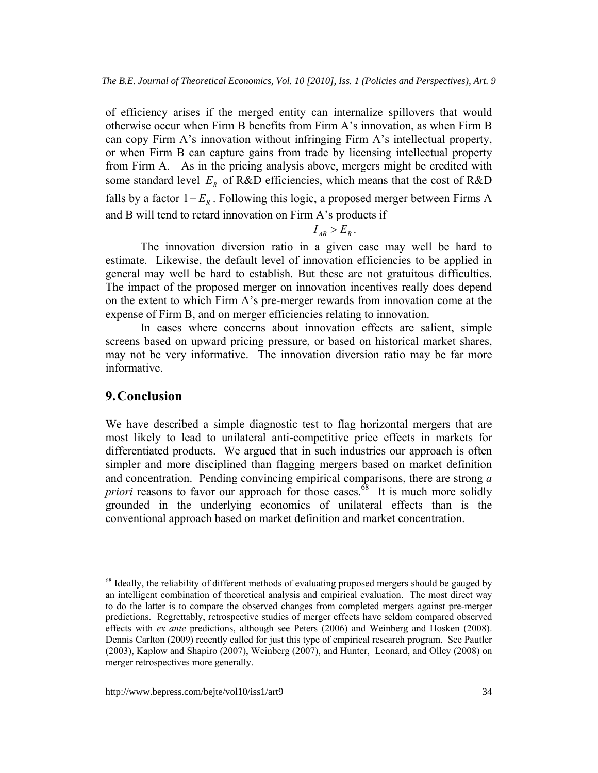of efficiency arises if the merged entity can internalize spillovers that would otherwise occur when Firm B benefits from Firm A's innovation, as when Firm B can copy Firm A's innovation without infringing Firm A's intellectual property, or when Firm B can capture gains from trade by licensing intellectual property from Firm A. As in the pricing analysis above, mergers might be credited with some standard level  $E_R$  of R&D efficiencies, which means that the cost of R&D falls by a factor  $1-E_R$ . Following this logic, a proposed merger between Firms A and B will tend to retard innovation on Firm A's products if

$$
I_{AB} > E_R.
$$

The innovation diversion ratio in a given case may well be hard to estimate. Likewise, the default level of innovation efficiencies to be applied in general may well be hard to establish. But these are not gratuitous difficulties. The impact of the proposed merger on innovation incentives really does depend on the extent to which Firm A's pre-merger rewards from innovation come at the expense of Firm B, and on merger efficiencies relating to innovation.

In cases where concerns about innovation effects are salient, simple screens based on upward pricing pressure, or based on historical market shares, may not be very informative. The innovation diversion ratio may be far more informative.

#### **9.Conclusion**

 $\overline{a}$ 

We have described a simple diagnostic test to flag horizontal mergers that are most likely to lead to unilateral anti-competitive price effects in markets for differentiated products. We argued that in such industries our approach is often simpler and more disciplined than flagging mergers based on market definition and concentration. Pending convincing empirical comparisons, there are strong *a priori* reasons to favor our approach for those cases.<sup>68</sup> It is much more solidly grounded in the underlying economics of unilateral effects than is the conventional approach based on market definition and market concentration.

<sup>&</sup>lt;sup>68</sup> Ideally, the reliability of different methods of evaluating proposed mergers should be gauged by an intelligent combination of theoretical analysis and empirical evaluation. The most direct way to do the latter is to compare the observed changes from completed mergers against pre-merger predictions. Regrettably, retrospective studies of merger effects have seldom compared observed effects with *ex ante* predictions, although see Peters (2006) and Weinberg and Hosken (2008). Dennis Carlton (2009) recently called for just this type of empirical research program. See Pautler (2003), Kaplow and Shapiro (2007), Weinberg (2007), and Hunter, Leonard, and Olley (2008) on merger retrospectives more generally.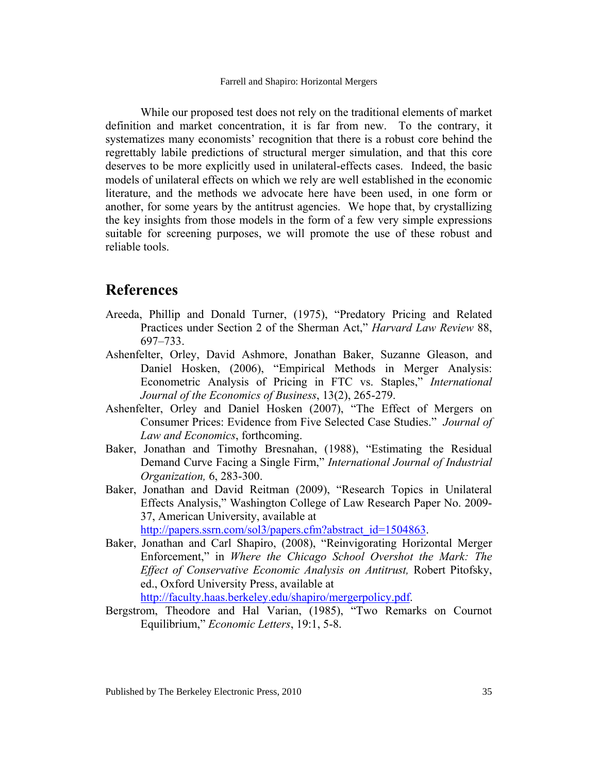While our proposed test does not rely on the traditional elements of market definition and market concentration, it is far from new. To the contrary, it systematizes many economists' recognition that there is a robust core behind the regrettably labile predictions of structural merger simulation, and that this core deserves to be more explicitly used in unilateral-effects cases. Indeed, the basic models of unilateral effects on which we rely are well established in the economic literature, and the methods we advocate here have been used, in one form or another, for some years by the antitrust agencies. We hope that, by crystallizing the key insights from those models in the form of a few very simple expressions suitable for screening purposes, we will promote the use of these robust and reliable tools.

## **References**

- Areeda, Phillip and Donald Turner, (1975), "Predatory Pricing and Related Practices under Section 2 of the Sherman Act," *Harvard Law Review* 88, 697–733.
- Ashenfelter, Orley, David Ashmore, Jonathan Baker, Suzanne Gleason, and Daniel Hosken, (2006), "Empirical Methods in Merger Analysis: Econometric Analysis of Pricing in FTC vs. Staples," *International Journal of the Economics of Business*, 13(2), 265-279.
- Ashenfelter, Orley and Daniel Hosken (2007), "The Effect of Mergers on Consumer Prices: Evidence from Five Selected Case Studies." *Journal of Law and Economics*, forthcoming.
- Baker, Jonathan and Timothy Bresnahan, (1988), "Estimating the Residual Demand Curve Facing a Single Firm," *International Journal of Industrial Organization,* 6, 283-300.
- Baker, Jonathan and David Reitman (2009), "Research Topics in Unilateral Effects Analysis," Washington College of Law Research Paper No. 2009- 37, American University, available at http://papers.ssrn.com/sol3/papers.cfm?abstract\_id=1504863.

Baker, Jonathan and Carl Shapiro, (2008), "Reinvigorating Horizontal Merger Enforcement," in *Where the Chicago School Overshot the Mark: The Effect of Conservative Economic Analysis on Antitrust,* Robert Pitofsky, ed., Oxford University Press, available at

http://faculty.haas.berkeley.edu/shapiro/mergerpolicy.pdf.

Bergstrom, Theodore and Hal Varian, (1985), "Two Remarks on Cournot Equilibrium," *Economic Letters*, 19:1, 5-8.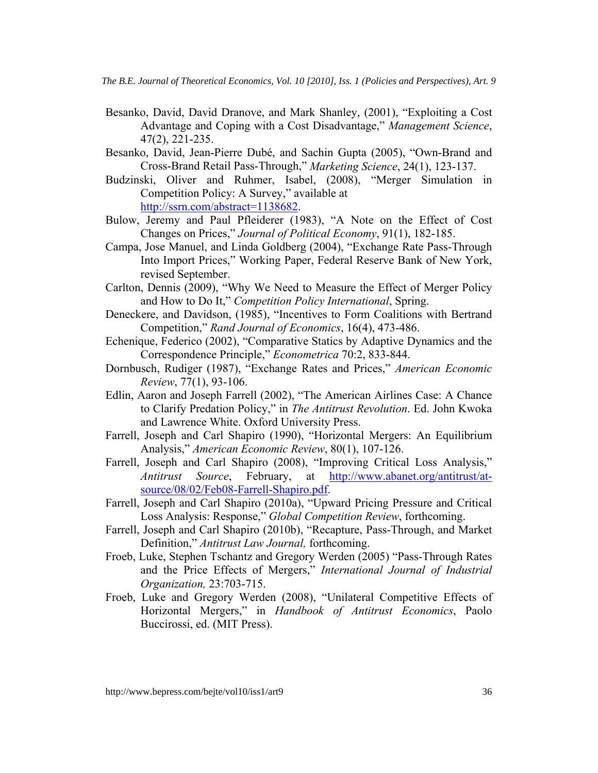- Besanko, David, David Dranove, and Mark Shanley, (2001), "Exploiting a Cost Advantage and Coping with a Cost Disadvantage," *Management Science*, 47(2), 221-235.
- Besanko, David, Jean-Pierre Dubé, and Sachin Gupta (2005), "Own-Brand and Cross-Brand Retail Pass-Through," *Marketing Science*, 24(1), 123-137.
- Budzinski, Oliver and Ruhmer, Isabel, (2008), "Merger Simulation in Competition Policy: A Survey," available at

http://ssrn.com/abstract=1138682.

- Bulow, Jeremy and Paul Pfleiderer (1983), "A Note on the Effect of Cost Changes on Prices," *Journal of Political Economy*, 91(1), 182-185.
- Campa, Jose Manuel, and Linda Goldberg (2004), "Exchange Rate Pass-Through Into Import Prices," Working Paper, Federal Reserve Bank of New York, revised September.
- Carlton, Dennis (2009), "Why We Need to Measure the Effect of Merger Policy and How to Do It," *Competition Policy International*, Spring.
- Deneckere, and Davidson, (1985), "Incentives to Form Coalitions with Bertrand Competition," *Rand Journal of Economics*, 16(4), 473-486.
- Echenique, Federico (2002), "Comparative Statics by Adaptive Dynamics and the Correspondence Principle," *Econometrica* 70:2, 833-844.
- Dornbusch, Rudiger (1987), "Exchange Rates and Prices," *American Economic Review*, 77(1), 93-106.
- Edlin, Aaron and Joseph Farrell (2002), "The American Airlines Case: A Chance to Clarify Predation Policy," in *The Antitrust Revolution*. Ed. John Kwoka and Lawrence White. Oxford University Press.
- Farrell, Joseph and Carl Shapiro (1990), "Horizontal Mergers: An Equilibrium Analysis," *American Economic Review*, 80(1), 107-126.
- Farrell, Joseph and Carl Shapiro (2008), "Improving Critical Loss Analysis," *Antitrust Source*, February, at http://www.abanet.org/antitrust/atsource/08/02/Feb08-Farrell-Shapiro.pdf.
- Farrell, Joseph and Carl Shapiro (2010a), "Upward Pricing Pressure and Critical Loss Analysis: Response," *Global Competition Review*, forthcoming.
- Farrell, Joseph and Carl Shapiro (2010b), "Recapture, Pass-Through, and Market Definition," *Antitrust Law Journal,* forthcoming.
- Froeb, Luke, Stephen Tschantz and Gregory Werden (2005) "Pass-Through Rates and the Price Effects of Mergers," *International Journal of Industrial Organization,* 23:703-715.
- Froeb, Luke and Gregory Werden (2008), "Unilateral Competitive Effects of Horizontal Mergers," in *Handbook of Antitrust Economics*, Paolo Buccirossi, ed. (MIT Press).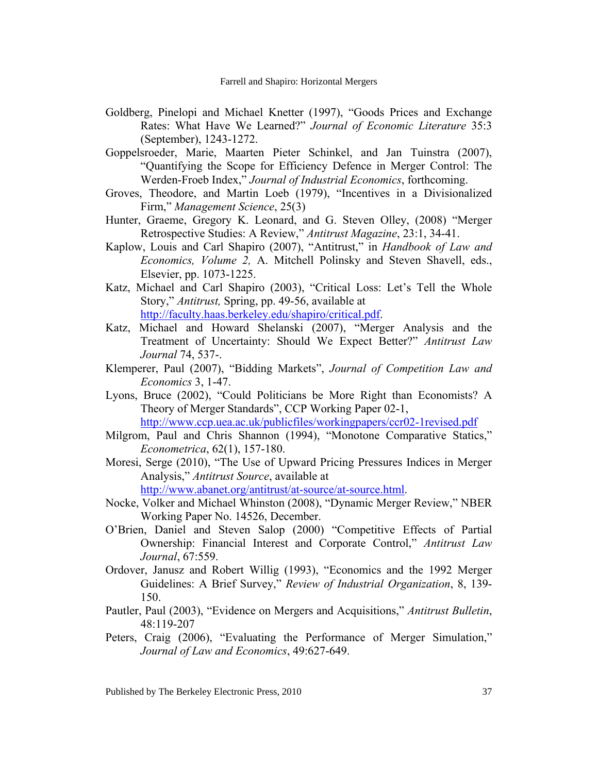- Goldberg, Pinelopi and Michael Knetter (1997), "Goods Prices and Exchange Rates: What Have We Learned?" *Journal of Economic Literature* 35:3 (September), 1243-1272.
- Goppelsroeder, Marie, Maarten Pieter Schinkel, and Jan Tuinstra (2007), "Quantifying the Scope for Efficiency Defence in Merger Control: The Werden-Froeb Index," *Journal of Industrial Economics*, forthcoming.
- Groves, Theodore, and Martin Loeb (1979), "Incentives in a Divisionalized Firm," *Management Science*, 25(3)
- Hunter, Graeme, Gregory K. Leonard, and G. Steven Olley, (2008) "Merger Retrospective Studies: A Review," *Antitrust Magazine*, 23:1, 34-41.
- Kaplow, Louis and Carl Shapiro (2007), "Antitrust," in *Handbook of Law and Economics, Volume 2,* A. Mitchell Polinsky and Steven Shavell, eds., Elsevier, pp. 1073-1225.
- Katz, Michael and Carl Shapiro (2003), "Critical Loss: Let's Tell the Whole Story," *Antitrust,* Spring, pp. 49-56, available at http://faculty.haas.berkeley.edu/shapiro/critical.pdf.
- Katz, Michael and Howard Shelanski (2007), "Merger Analysis and the Treatment of Uncertainty: Should We Expect Better?" *Antitrust Law Journal* 74, 537-.
- Klemperer, Paul (2007), "Bidding Markets", *Journal of Competition Law and Economics* 3, 1-47.
- Lyons, Bruce (2002), "Could Politicians be More Right than Economists? A Theory of Merger Standards", CCP Working Paper 02-1, http://www.ccp.uea.ac.uk/publicfiles/workingpapers/ccr02-1revised.pdf
- Milgrom, Paul and Chris Shannon (1994), "Monotone Comparative Statics," *Econometrica*, 62(1), 157-180.
- Moresi, Serge (2010), "The Use of Upward Pricing Pressures Indices in Merger Analysis," *Antitrust Source*, available at http://www.abanet.org/antitrust/at-source/at-source.html.
- Nocke, Volker and Michael Whinston (2008), "Dynamic Merger Review," NBER Working Paper No. 14526, December.
- O'Brien, Daniel and Steven Salop (2000) "Competitive Effects of Partial Ownership: Financial Interest and Corporate Control," *Antitrust Law Journal*, 67:559.
- Ordover, Janusz and Robert Willig (1993), "Economics and the 1992 Merger Guidelines: A Brief Survey," *Review of Industrial Organization*, 8, 139- 150.
- Pautler, Paul (2003), "Evidence on Mergers and Acquisitions," *Antitrust Bulletin*, 48:119-207
- Peters, Craig (2006), "Evaluating the Performance of Merger Simulation," *Journal of Law and Economics*, 49:627-649.

Published by The Berkeley Electronic Press, 2010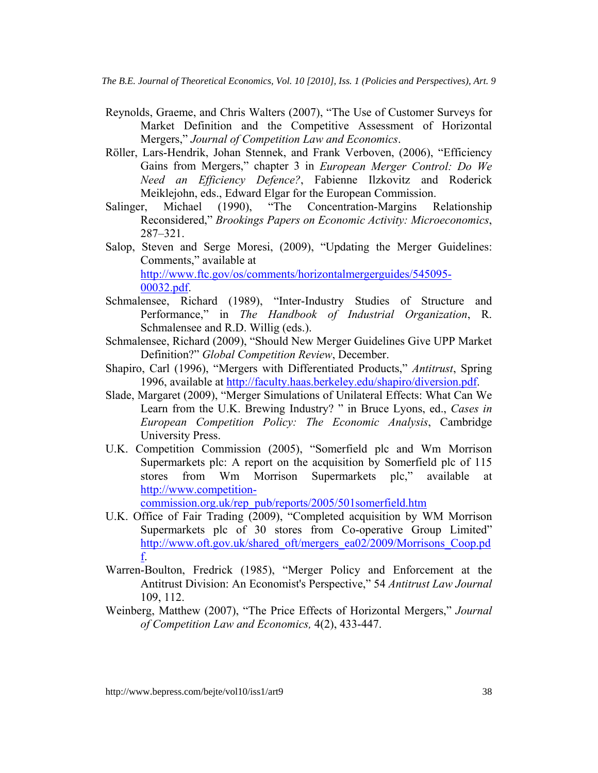- Reynolds, Graeme, and Chris Walters (2007), "The Use of Customer Surveys for Market Definition and the Competitive Assessment of Horizontal Mergers," *Journal of Competition Law and Economics*.
- Röller, Lars-Hendrik, Johan Stennek, and Frank Verboven, (2006), "Efficiency Gains from Mergers," chapter 3 in *European Merger Control: Do We Need an Efficiency Defence?*, Fabienne Ilzkovitz and Roderick Meiklejohn, eds., Edward Elgar for the European Commission.
- Salinger, Michael (1990), "The Concentration-Margins Relationship Reconsidered," *Brookings Papers on Economic Activity: Microeconomics*, 287–321.
- Salop, Steven and Serge Moresi, (2009), "Updating the Merger Guidelines: Comments," available at http://www.ftc.gov/os/comments/horizontalmergerguides/545095-

00032.pdf.

- Schmalensee, Richard (1989), "Inter-Industry Studies of Structure and Performance," in *The Handbook of Industrial Organization*, R. Schmalensee and R.D. Willig (eds.).
- Schmalensee, Richard (2009), "Should New Merger Guidelines Give UPP Market Definition?" *Global Competition Review*, December.
- Shapiro, Carl (1996), "Mergers with Differentiated Products," *Antitrust*, Spring 1996, available at http://faculty.haas.berkeley.edu/shapiro/diversion.pdf.
- Slade, Margaret (2009), "Merger Simulations of Unilateral Effects: What Can We Learn from the U.K. Brewing Industry? " in Bruce Lyons, ed., *Cases in European Competition Policy: The Economic Analysis*, Cambridge University Press.
- U.K. Competition Commission (2005), "Somerfield plc and Wm Morrison Supermarkets plc: A report on the acquisition by Somerfield plc of 115 stores from Wm Morrison Supermarkets plc," available at http://www.competition-

commission.org.uk/rep\_pub/reports/2005/501somerfield.htm

- U.K. Office of Fair Trading (2009), "Completed acquisition by WM Morrison Supermarkets plc of 30 stores from Co-operative Group Limited" http://www.oft.gov.uk/shared\_oft/mergers\_ea02/2009/Morrisons\_Coop.pd f.
- Warren-Boulton, Fredrick (1985), "Merger Policy and Enforcement at the Antitrust Division: An Economist's Perspective," 54 *Antitrust Law Journal* 109, 112.
- Weinberg, Matthew (2007), "The Price Effects of Horizontal Mergers," *Journal of Competition Law and Economics,* 4(2), 433-447.